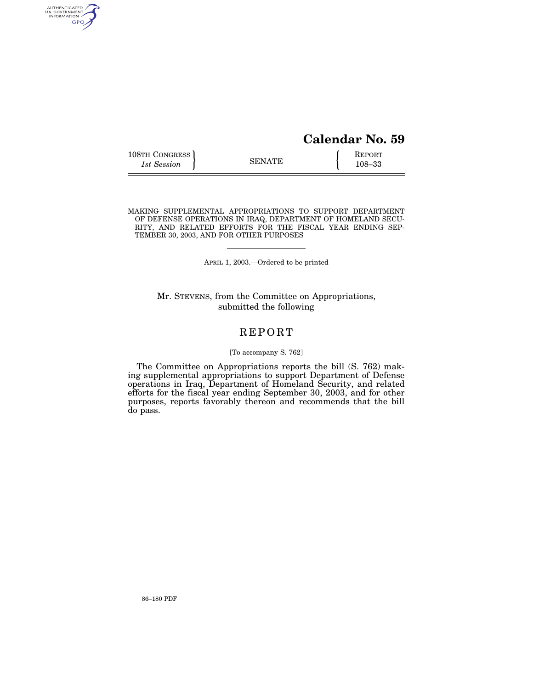# **Calendar No. 59**

| 108TH CONGRESS<br><b>SENATE</b><br>1st Session | REPORT<br>$108 - 33$ |
|------------------------------------------------|----------------------|
|------------------------------------------------|----------------------|

MAKING SUPPLEMENTAL APPROPRIATIONS TO SUPPORT DEPARTMENT OF DEFENSE OPERATIONS IN IRAQ, DEPARTMENT OF HOMELAND SECU-RITY, AND RELATED EFFORTS FOR THE FISCAL YEAR ENDING SEP-TEMBER 30, 2003, AND FOR OTHER PURPOSES

APRIL 1, 2003.—Ordered to be printed

Mr. STEVENS, from the Committee on Appropriations, submitted the following

# REPORT

## [To accompany S. 762]

The Committee on Appropriations reports the bill (S. 762) making supplemental appropriations to support Department of Defense operations in Iraq, Department of Homeland Security, and related efforts for the fiscal year ending September 30, 2003, and for other purposes, reports favorably thereon and recommends that the bill do pass.

AUTHENTICATED<br>U.S. GOVERNMENT<br>INFORMATION **GPO**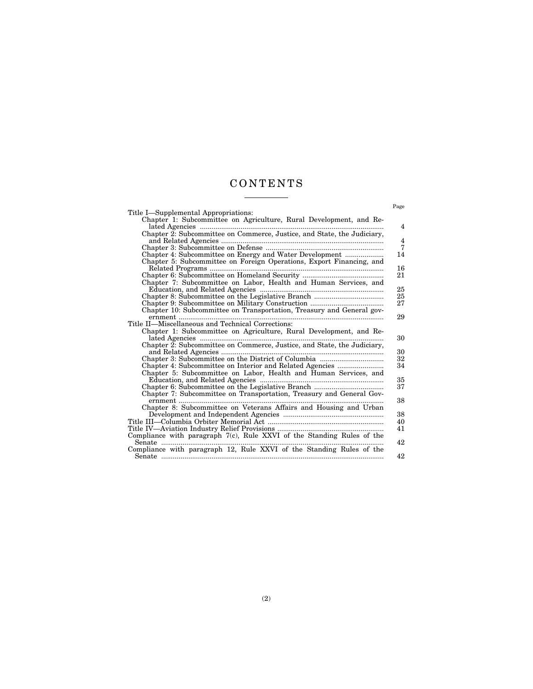# CONTENTS

|                                                                                                                                                                                                                                                                                                                                                                                                                                                                                                | Page           |
|------------------------------------------------------------------------------------------------------------------------------------------------------------------------------------------------------------------------------------------------------------------------------------------------------------------------------------------------------------------------------------------------------------------------------------------------------------------------------------------------|----------------|
| Title I—Supplemental Appropriations:                                                                                                                                                                                                                                                                                                                                                                                                                                                           |                |
| Chapter 1: Subcommittee on Agriculture, Rural Development, and Re-                                                                                                                                                                                                                                                                                                                                                                                                                             |                |
|                                                                                                                                                                                                                                                                                                                                                                                                                                                                                                | 4              |
| Chapter 2: Subcommittee on Commerce, Justice, and State, the Judiciary,                                                                                                                                                                                                                                                                                                                                                                                                                        |                |
|                                                                                                                                                                                                                                                                                                                                                                                                                                                                                                | $\overline{4}$ |
|                                                                                                                                                                                                                                                                                                                                                                                                                                                                                                | 7              |
| Chapter 4: Subcommittee on Energy and Water Development                                                                                                                                                                                                                                                                                                                                                                                                                                        | 14             |
| Chapter 5: Subcommittee on Foreign Operations, Export Financing, and                                                                                                                                                                                                                                                                                                                                                                                                                           |                |
|                                                                                                                                                                                                                                                                                                                                                                                                                                                                                                | 16             |
|                                                                                                                                                                                                                                                                                                                                                                                                                                                                                                | 21             |
| Chapter 7: Subcommittee on Labor, Health and Human Services, and                                                                                                                                                                                                                                                                                                                                                                                                                               |                |
|                                                                                                                                                                                                                                                                                                                                                                                                                                                                                                | 25             |
|                                                                                                                                                                                                                                                                                                                                                                                                                                                                                                | 25             |
|                                                                                                                                                                                                                                                                                                                                                                                                                                                                                                | 27             |
| Chapter 10: Subcommittee on Transportation, Treasury and General gov-                                                                                                                                                                                                                                                                                                                                                                                                                          |                |
| $\begin{minipage}{0.9\linewidth} \textbf{Time}.\textcolor{blue}{\textbf{m} = 1.5\textbf{m}}\textbf{The time}.\textcolor{blue}{\textbf{Time}:\textbf{M} = 1.5\textbf{m}}\textbf{The time}.\textcolor{blue}{\textbf{Time}:\textbf{M} = 1.5\textbf{m}}\textbf{The time}.\textcolor{blue}{\textbf{New} = 1.5\textbf{m}}\textbf{The time}.\textcolor{blue}{\textbf{New} = 1.5\textbf{m}}\textbf{The time}.\textcolor{blue}{\textbf{New} = 1.5\textbf{m}}\textbf{The time}.\textcolor{blue}{\textbf$ | 29             |
|                                                                                                                                                                                                                                                                                                                                                                                                                                                                                                |                |
| Chapter 1: Subcommittee on Agriculture, Rural Development, and Re-                                                                                                                                                                                                                                                                                                                                                                                                                             |                |
|                                                                                                                                                                                                                                                                                                                                                                                                                                                                                                | 30             |
| Chapter 2: Subcommittee on Commerce, Justice, and State, the Judiciary,                                                                                                                                                                                                                                                                                                                                                                                                                        |                |
|                                                                                                                                                                                                                                                                                                                                                                                                                                                                                                | 30             |
|                                                                                                                                                                                                                                                                                                                                                                                                                                                                                                | 32             |
| Chapter 4: Subcommittee on Interior and Related Agencies                                                                                                                                                                                                                                                                                                                                                                                                                                       | 34             |
| Chapter 5: Subcommittee on Labor, Health and Human Services, and                                                                                                                                                                                                                                                                                                                                                                                                                               |                |
|                                                                                                                                                                                                                                                                                                                                                                                                                                                                                                | 35             |
|                                                                                                                                                                                                                                                                                                                                                                                                                                                                                                | 37             |
| Chapter 7: Subcommittee on Transportation, Treasury and General Gov-                                                                                                                                                                                                                                                                                                                                                                                                                           |                |
|                                                                                                                                                                                                                                                                                                                                                                                                                                                                                                | 38             |
| Chapter 8: Subcommittee on Veterans Affairs and Housing and Urban                                                                                                                                                                                                                                                                                                                                                                                                                              | 38             |
| Title III—Columbia Orbiter Memorial Act ……………………………………………………                                                                                                                                                                                                                                                                                                                                                                                                                                   | 40             |
|                                                                                                                                                                                                                                                                                                                                                                                                                                                                                                | 41             |
| Compliance with paragraph $7(c)$ , Rule XXVI of the Standing Rules of the                                                                                                                                                                                                                                                                                                                                                                                                                      |                |
|                                                                                                                                                                                                                                                                                                                                                                                                                                                                                                | 42             |
| Compliance with paragraph 12, Rule XXVI of the Standing Rules of the                                                                                                                                                                                                                                                                                                                                                                                                                           |                |
|                                                                                                                                                                                                                                                                                                                                                                                                                                                                                                | 42             |
|                                                                                                                                                                                                                                                                                                                                                                                                                                                                                                |                |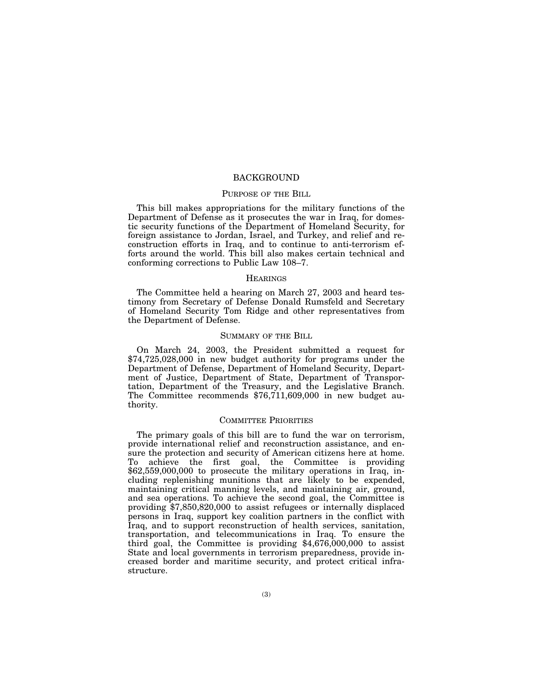## BACKGROUND

## PURPOSE OF THE BILL

This bill makes appropriations for the military functions of the Department of Defense as it prosecutes the war in Iraq, for domestic security functions of the Department of Homeland Security, for foreign assistance to Jordan, Israel, and Turkey, and relief and reconstruction efforts in Iraq, and to continue to anti-terrorism efforts around the world. This bill also makes certain technical and conforming corrections to Public Law 108–7.

## **HEARINGS**

The Committee held a hearing on March 27, 2003 and heard testimony from Secretary of Defense Donald Rumsfeld and Secretary of Homeland Security Tom Ridge and other representatives from the Department of Defense.

#### SUMMARY OF THE BILL

On March 24, 2003, the President submitted a request for \$74,725,028,000 in new budget authority for programs under the Department of Defense, Department of Homeland Security, Department of Justice, Department of State, Department of Transportation, Department of the Treasury, and the Legislative Branch. The Committee recommends \$76,711,609,000 in new budget authority.

## COMMITTEE PRIORITIES

The primary goals of this bill are to fund the war on terrorism, provide international relief and reconstruction assistance, and ensure the protection and security of American citizens here at home. To achieve the first goal, the Committee is providing \$62,559,000,000 to prosecute the military operations in Iraq, including replenishing munitions that are likely to be expended, maintaining critical manning levels, and maintaining air, ground, and sea operations. To achieve the second goal, the Committee is providing \$7,850,820,000 to assist refugees or internally displaced persons in Iraq, support key coalition partners in the conflict with Iraq, and to support reconstruction of health services, sanitation, transportation, and telecommunications in Iraq. To ensure the third goal, the Committee is providing  $$4,676,000,000$  to assist State and local governments in terrorism preparedness, provide increased border and maritime security, and protect critical infrastructure.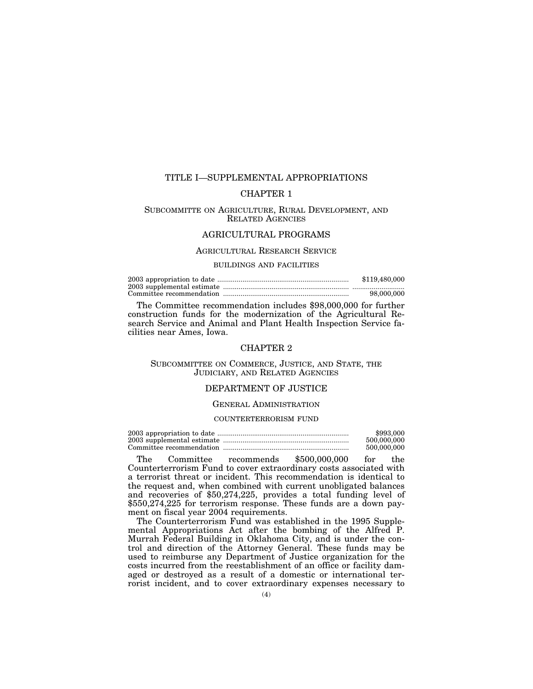# TITLE I—SUPPLEMENTAL APPROPRIATIONS

# CHAPTER 1

# SUBCOMMITTE ON AGRICULTURE, RURAL DEVELOPMENT, AND RELATED AGENCIES

# AGRICULTURAL PROGRAMS

#### AGRICULTURAL RESEARCH SERVICE

## BUILDINGS AND FACILITIES

| \$119,480,000 |
|---------------|
|               |
| 98,000,000    |

The Committee recommendation includes \$98,000,000 for further construction funds for the modernization of the Agricultural Research Service and Animal and Plant Health Inspection Service facilities near Ames, Iowa.

# CHAPTER 2

# SUBCOMMITTEE ON COMMERCE, JUSTICE, AND STATE, THE JUDICIARY, AND RELATED AGENCIES

# DEPARTMENT OF JUSTICE

## GENERAL ADMINISTRATION

## COUNTERTERRORISM FUND

| \$993,000   |
|-------------|
| 500,000,000 |
| 500,000,000 |

The Committee recommends \$500,000,000 for the Counterterrorism Fund to cover extraordinary costs associated with a terrorist threat or incident. This recommendation is identical to the request and, when combined with current unobligated balances and recoveries of \$50,274,225, provides a total funding level of \$550,274,225 for terrorism response. These funds are a down payment on fiscal year 2004 requirements.

The Counterterrorism Fund was established in the 1995 Supplemental Appropriations Act after the bombing of the Alfred P. Murrah Federal Building in Oklahoma City, and is under the control and direction of the Attorney General. These funds may be used to reimburse any Department of Justice organization for the costs incurred from the reestablishment of an office or facility damaged or destroyed as a result of a domestic or international terrorist incident, and to cover extraordinary expenses necessary to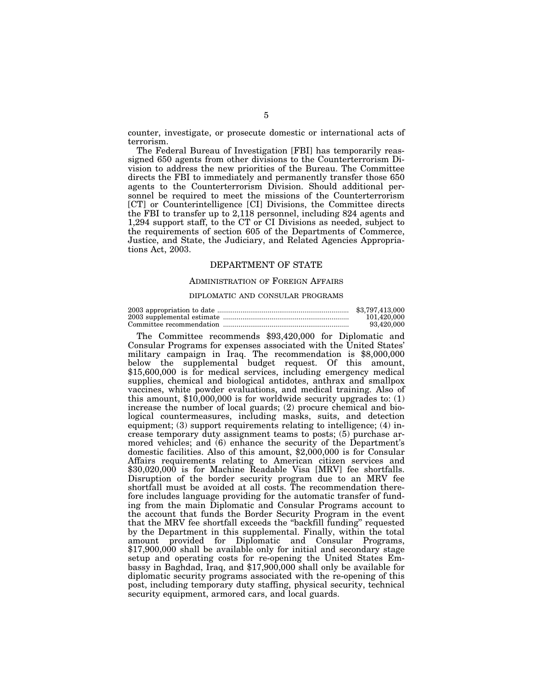counter, investigate, or prosecute domestic or international acts of terrorism.

The Federal Bureau of Investigation [FBI] has temporarily reassigned 650 agents from other divisions to the Counterterrorism Division to address the new priorities of the Bureau. The Committee directs the FBI to immediately and permanently transfer those 650 agents to the Counterterrorism Division. Should additional personnel be required to meet the missions of the Counterterrorism [CT] or Counterintelligence [CI] Divisions, the Committee directs the FBI to transfer up to 2,118 personnel, including 824 agents and 1,294 support staff, to the CT or CI Divisions as needed, subject to the requirements of section 605 of the Departments of Commerce, Justice, and State, the Judiciary, and Related Agencies Appropriations Act, 2003.

## DEPARTMENT OF STATE

#### ADMINISTRATION OF FOREIGN AFFAIRS

#### DIPLOMATIC AND CONSULAR PROGRAMS

| \$3,797,413,000 |
|-----------------|
| 101.420.000     |
| 93.420.000      |

The Committee recommends \$93,420,000 for Diplomatic and Consular Programs for expenses associated with the United States' military campaign in Iraq. The recommendation is \$8,000,000 below the supplemental budget request. Of this amount, \$15,600,000 is for medical services, including emergency medical supplies, chemical and biological antidotes, anthrax and smallpox vaccines, white powder evaluations, and medical training. Also of this amount, \$10,000,000 is for worldwide security upgrades to: (1) increase the number of local guards; (2) procure chemical and biological countermeasures, including masks, suits, and detection equipment; (3) support requirements relating to intelligence; (4) increase temporary duty assignment teams to posts; (5) purchase armored vehicles; and (6) enhance the security of the Department's domestic facilities. Also of this amount, \$2,000,000 is for Consular Affairs requirements relating to American citizen services and \$30,020,000 is for Machine Readable Visa [MRV] fee shortfalls. Disruption of the border security program due to an MRV fee shortfall must be avoided at all costs. The recommendation therefore includes language providing for the automatic transfer of funding from the main Diplomatic and Consular Programs account to the account that funds the Border Security Program in the event that the MRV fee shortfall exceeds the ''backfill funding'' requested by the Department in this supplemental. Finally, within the total amount provided for Diplomatic and Consular Programs, \$17,900,000 shall be available only for initial and secondary stage setup and operating costs for re-opening the United States Embassy in Baghdad, Iraq, and \$17,900,000 shall only be available for diplomatic security programs associated with the re-opening of this post, including temporary duty staffing, physical security, technical security equipment, armored cars, and local guards.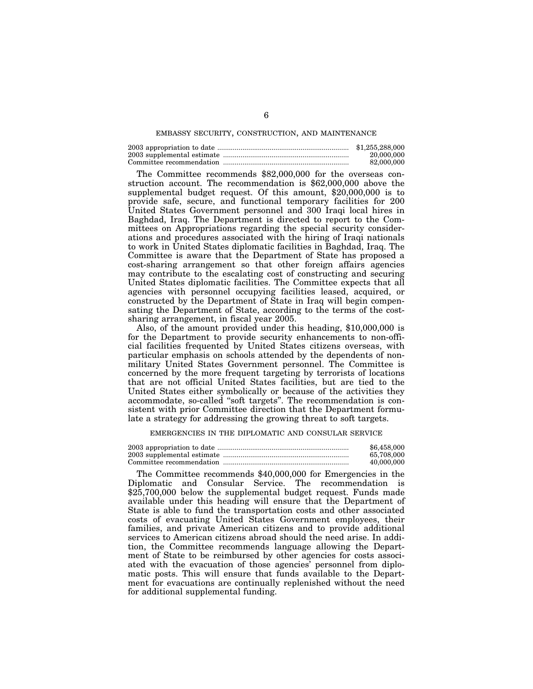#### EMBASSY SECURITY, CONSTRUCTION, AND MAINTENANCE

| \$1,255,288,000 |
|-----------------|
| 20,000,000      |
| 82,000,000      |

The Committee recommends \$82,000,000 for the overseas construction account. The recommendation is \$62,000,000 above the supplemental budget request. Of this amount, \$20,000,000 is to provide safe, secure, and functional temporary facilities for 200 United States Government personnel and 300 Iraqi local hires in Baghdad, Iraq. The Department is directed to report to the Committees on Appropriations regarding the special security considerations and procedures associated with the hiring of Iraqi nationals to work in United States diplomatic facilities in Baghdad, Iraq. The Committee is aware that the Department of State has proposed a cost-sharing arrangement so that other foreign affairs agencies may contribute to the escalating cost of constructing and securing United States diplomatic facilities. The Committee expects that all agencies with personnel occupying facilities leased, acquired, or constructed by the Department of State in Iraq will begin compensating the Department of State, according to the terms of the costsharing arrangement, in fiscal year 2005.

Also, of the amount provided under this heading, \$10,000,000 is for the Department to provide security enhancements to non-official facilities frequented by United States citizens overseas, with particular emphasis on schools attended by the dependents of nonmilitary United States Government personnel. The Committee is concerned by the more frequent targeting by terrorists of locations that are not official United States facilities, but are tied to the United States either symbolically or because of the activities they accommodate, so-called ''soft targets''. The recommendation is consistent with prior Committee direction that the Department formulate a strategy for addressing the growing threat to soft targets.

#### EMERGENCIES IN THE DIPLOMATIC AND CONSULAR SERVICE

| \$6,458,000 |
|-------------|
| 65.708.000  |
| 40,000,000  |

The Committee recommends \$40,000,000 for Emergencies in the Diplomatic and Consular Service. The recommendation is \$25,700,000 below the supplemental budget request. Funds made available under this heading will ensure that the Department of State is able to fund the transportation costs and other associated costs of evacuating United States Government employees, their families, and private American citizens and to provide additional services to American citizens abroad should the need arise. In addition, the Committee recommends language allowing the Department of State to be reimbursed by other agencies for costs associated with the evacuation of those agencies' personnel from diplomatic posts. This will ensure that funds available to the Department for evacuations are continually replenished without the need for additional supplemental funding.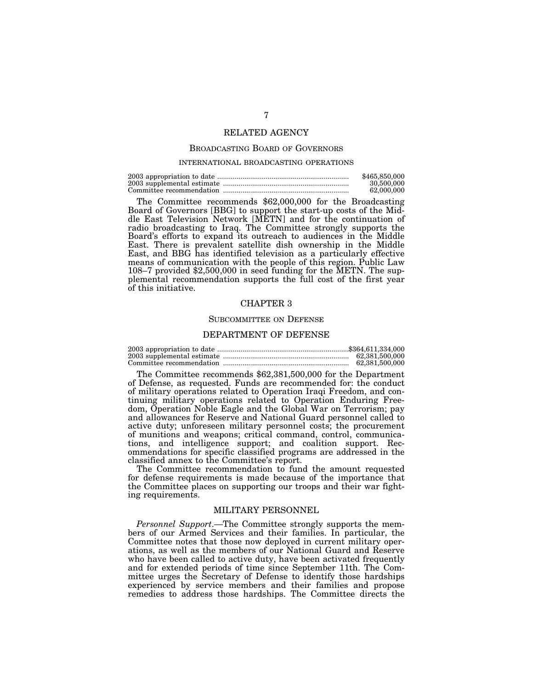## RELATED AGENCY

#### BROADCASTING BOARD OF GOVERNORS

#### INTERNATIONAL BROADCASTING OPERATIONS

| \$465,850,000 |
|---------------|
| 30,500,000    |
| 62,000,000    |

The Committee recommends \$62,000,000 for the Broadcasting Board of Governors [BBG] to support the start-up costs of the Middle East Television Network [METN] and for the continuation of radio broadcasting to Iraq. The Committee strongly supports the Board's efforts to expand its outreach to audiences in the Middle East. There is prevalent satellite dish ownership in the Middle East, and BBG has identified television as a particularly effective means of communication with the people of this region. Public Law 108–7 provided \$2,500,000 in seed funding for the METN. The supplemental recommendation supports the full cost of the first year of this initiative.

#### CHAPTER 3

#### SUBCOMMITTEE ON DEFENSE

## DEPARTMENT OF DEFENSE

| 62.381.500.000 |
|----------------|
| 62.381.500.000 |

The Committee recommends \$62,381,500,000 for the Department of Defense, as requested. Funds are recommended for: the conduct of military operations related to Operation Iraqi Freedom, and continuing military operations related to Operation Enduring Freedom, Operation Noble Eagle and the Global War on Terrorism; pay and allowances for Reserve and National Guard personnel called to active duty; unforeseen military personnel costs; the procurement of munitions and weapons; critical command, control, communications, and intelligence support; and coalition support. Recommendations for specific classified programs are addressed in the classified annex to the Committee's report.

The Committee recommendation to fund the amount requested for defense requirements is made because of the importance that the Committee places on supporting our troops and their war fighting requirements.

#### MILITARY PERSONNEL

*Personnel Support*.—The Committee strongly supports the members of our Armed Services and their families. In particular, the Committee notes that those now deployed in current military operations, as well as the members of our National Guard and Reserve who have been called to active duty, have been activated frequently and for extended periods of time since September 11th. The Committee urges the Secretary of Defense to identify those hardships experienced by service members and their families and propose remedies to address those hardships. The Committee directs the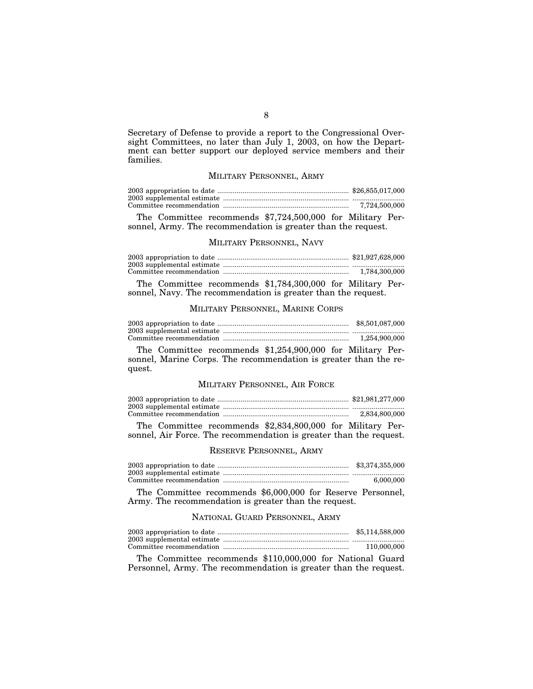Secretary of Defense to provide a report to the Congressional Oversight Committees, no later than July 1, 2003, on how the Department can better support our deployed service members and their families.

# MILITARY PERSONNEL, ARMY

| 7,724,500,000 |
|---------------|

The Committee recommends \$7,724,500,000 for Military Personnel, Army. The recommendation is greater than the request.

## MILITARY PERSONNEL, NAVY

|        |                                    |  |  |  |                                                                                                                                                                                                                                                                                                                                    | 1,784,300,000 |
|--------|------------------------------------|--|--|--|------------------------------------------------------------------------------------------------------------------------------------------------------------------------------------------------------------------------------------------------------------------------------------------------------------------------------------|---------------|
| $\sim$ | $\sim$ $\sim$ $\sim$ $\sim$ $\sim$ |  |  |  | $\mathbf{1}$ $\mathbf{1}$ $\mathbf{1}$ $\mathbf{1}$ $\mathbf{1}$ $\mathbf{1}$ $\mathbf{1}$ $\mathbf{1}$ $\mathbf{1}$ $\mathbf{1}$ $\mathbf{1}$ $\mathbf{1}$ $\mathbf{1}$ $\mathbf{1}$ $\mathbf{1}$ $\mathbf{1}$ $\mathbf{1}$ $\mathbf{1}$ $\mathbf{1}$ $\mathbf{1}$ $\mathbf{1}$ $\mathbf{1}$ $\mathbf{1}$ $\mathbf{1}$ $\mathbf{$ |               |

The Committee recommends \$1,784,300,000 for Military Personnel, Navy. The recommendation is greater than the request.

## MILITARY PERSONNEL, MARINE CORPS

| \$8,501,087,000 |
|-----------------|
|                 |
| 1.254.900.000   |

The Committee recommends \$1,254,900,000 for Military Personnel, Marine Corps. The recommendation is greater than the request.

## MILITARY PERSONNEL, AIR FORCE

| 2,834,800,000 |
|---------------|

The Committee recommends \$2,834,800,000 for Military Personnel, Air Force. The recommendation is greater than the request.

## RESERVE PERSONNEL, ARMY

| \$3,374,355,000 |
|-----------------|
|                 |
| 6.000.000       |

The Committee recommends \$6,000,000 for Reserve Personnel, Army. The recommendation is greater than the request.

# NATIONAL GUARD PERSONNEL, ARMY

| \$5,114,588,000 |
|-----------------|
|                 |
| 110,000,000     |

The Committee recommends \$110,000,000 for National Guard Personnel, Army. The recommendation is greater than the request.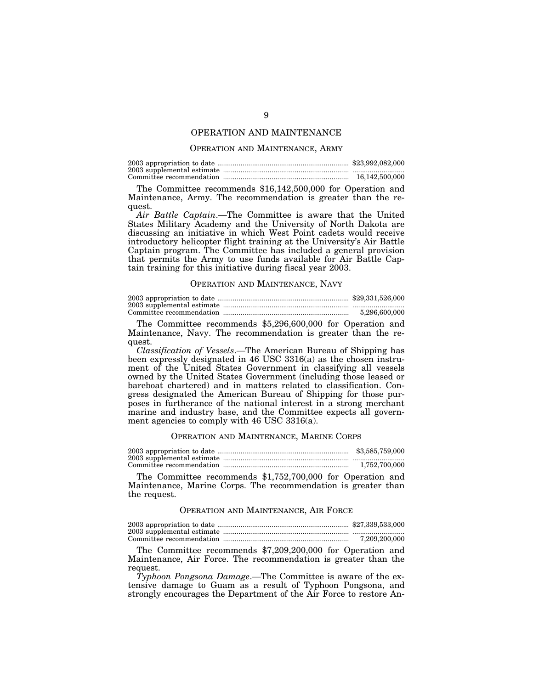## OPERATION AND MAINTENANCE

#### OPERATION AND MAINTENANCE, ARMY

| 16.142.500.000 |
|----------------|

The Committee recommends \$16,142,500,000 for Operation and Maintenance, Army. The recommendation is greater than the request.

*Air Battle Captain*.—The Committee is aware that the United States Military Academy and the University of North Dakota are discussing an initiative in which West Point cadets would receive introductory helicopter flight training at the University's Air Battle Captain program. The Committee has included a general provision that permits the Army to use funds available for Air Battle Captain training for this initiative during fiscal year 2003.

#### OPERATION AND MAINTENANCE, NAVY

| 5.296.600.000 |
|---------------|

The Committee recommends \$5,296,600,000 for Operation and Maintenance, Navy. The recommendation is greater than the request.

*Classification of Vessels*.—The American Bureau of Shipping has been expressly designated in 46 USC 3316(a) as the chosen instrument of the United States Government in classifying all vessels owned by the United States Government (including those leased or bareboat chartered) and in matters related to classification. Congress designated the American Bureau of Shipping for those purposes in furtherance of the national interest in a strong merchant marine and industry base, and the Committee expects all government agencies to comply with 46 USC 3316(a).

#### OPERATION AND MAINTENANCE, MARINE CORPS

2003 appropriation to date .................................................................... \$3,585,759,000 2003 supplemental estimate ................................................................. ........................... Committee recommendation ................................................................. 1,752,700,000

The Committee recommends \$1,752,700,000 for Operation and Maintenance, Marine Corps. The recommendation is greater than the request.

#### OPERATION AND MAINTENANCE, AIR FORCE

| 7.209.200.000 |
|---------------|

The Committee recommends \$7,209,200,000 for Operation and Maintenance, Air Force. The recommendation is greater than the request.

*Typhoon Pongsona Damage*.—The Committee is aware of the extensive damage to Guam as a result of Typhoon Pongsona, and strongly encourages the Department of the Air Force to restore An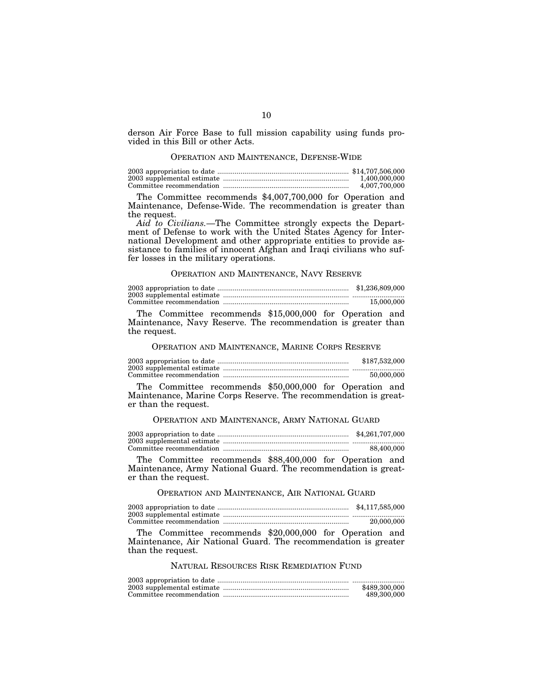derson Air Force Base to full mission capability using funds provided in this Bill or other Acts.

# OPERATION AND MAINTENANCE, DEFENSE-WIDE

| 1.400.000.000 |
|---------------|
| 4.007.700.000 |

The Committee recommends \$4,007,700,000 for Operation and Maintenance, Defense-Wide. The recommendation is greater than the request.

*Aid to Civilians.*—The Committee strongly expects the Department of Defense to work with the United States Agency for International Development and other appropriate entities to provide assistance to families of innocent Afghan and Iraqi civilians who suffer losses in the military operations.

## OPERATION AND MAINTENANCE, NAVY RESERVE

|  | \$1,236,809,000 |
|--|-----------------|
|  |                 |
|  | 15,000,000      |

The Committee recommends \$15,000,000 for Operation and Maintenance, Navy Reserve. The recommendation is greater than the request.

#### OPERATION AND MAINTENANCE, MARINE CORPS RESERVE

| \$187,532,000 |
|---------------|
|               |
| 50.000.000    |

The Committee recommends \$50,000,000 for Operation and Maintenance, Marine Corps Reserve. The recommendation is greater than the request.

## OPERATION AND MAINTENANCE, ARMY NATIONAL GUARD

| \$4,261,707,000 |
|-----------------|
|                 |
| 88,400,000      |

The Committee recommends \$88,400,000 for Operation and Maintenance, Army National Guard. The recommendation is greater than the request.

# OPERATION AND MAINTENANCE, AIR NATIONAL GUARD

2003 appropriation to date .................................................................... \$4,117,585,000 2003 supplemental estimate ................................................................. ...........................

Committee recommendation ................................................................. 20,000,000

The Committee recommends \$20,000,000 for Operation and Maintenance, Air National Guard. The recommendation is greater than the request.

# NATURAL RESOURCES RISK REMEDIATION FUND

| \$489,300,000 |
|---------------|
| 489,300,000   |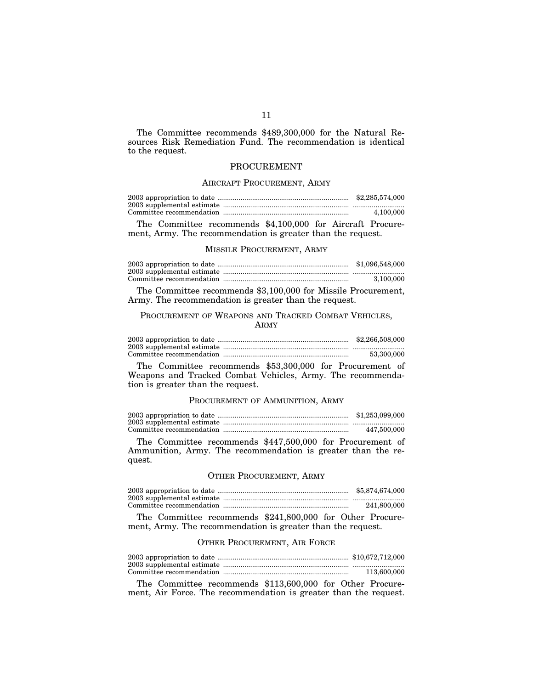The Committee recommends \$489,300,000 for the Natural Resources Risk Remediation Fund. The recommendation is identical to the request.

## PROCUREMENT

## AIRCRAFT PROCUREMENT, ARMY

|  | \$2,285,574,000 |
|--|-----------------|
|  |                 |
|  | 4.100.000       |

The Committee recommends \$4,100,000 for Aircraft Procurement, Army. The recommendation is greater than the request.

#### MISSILE PROCUREMENT, ARMY

| \$1,096,548,000 |
|-----------------|
|                 |
| 3.100.000       |

The Committee recommends \$3,100,000 for Missile Procurement, Army. The recommendation is greater than the request.

# PROCUREMENT OF WEAPONS AND TRACKED COMBAT VEHICLES, ARMY

2003 appropriation to date .................................................................... \$2,266,508,000 2003 supplemental estimate ................................................................. ........................... Committee recommendation ................................................................. 53,300,000

The Committee recommends \$53,300,000 for Procurement of Weapons and Tracked Combat Vehicles, Army. The recommendation is greater than the request.

## PROCUREMENT OF AMMUNITION, ARMY

| \$1,253,099,000 |
|-----------------|
|                 |
| 447.500.000     |

The Committee recommends \$447,500,000 for Procurement of Ammunition, Army. The recommendation is greater than the request.

## OTHER PROCUREMENT, ARMY

| \$5,874,674,000 |
|-----------------|
|                 |
| 241,800,000     |

The Committee recommends \$241,800,000 for Other Procurement, Army. The recommendation is greater than the request.

# OTHER PROCUREMENT, AIR FORCE

| 113.600.000 |
|-------------|

The Committee recommends \$113,600,000 for Other Procurement, Air Force. The recommendation is greater than the request.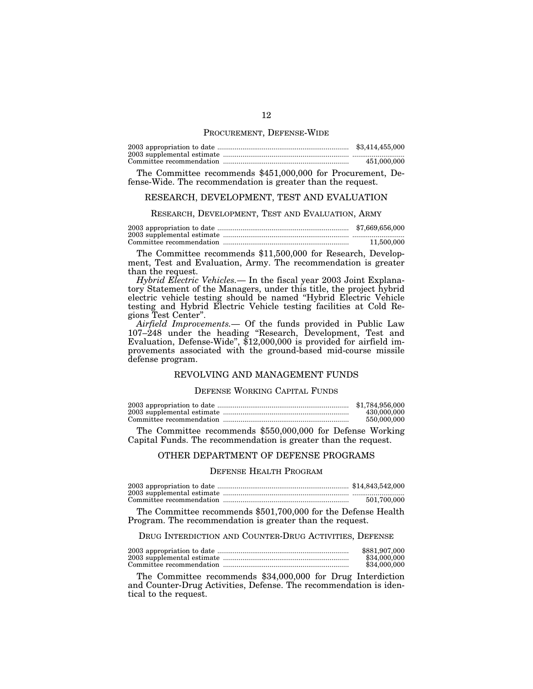#### PROCUREMENT, DEFENSE-WIDE

| \$3,414,455,000 |
|-----------------|
|                 |
| 451,000,000     |

The Committee recommends \$451,000,000 for Procurement, Defense-Wide. The recommendation is greater than the request.

## RESEARCH, DEVELOPMENT, TEST AND EVALUATION

#### RESEARCH, DEVELOPMENT, TEST AND EVALUATION, ARMY

2003 appropriation to date .................................................................... \$7,669,656,000 2003 supplemental estimate ................................................................. ........................... Committee recommendation ................................................................. 11,500,000

The Committee recommends \$11,500,000 for Research, Development, Test and Evaluation, Army. The recommendation is greater than the request.

*Hybrid Electric Vehicles.*— In the fiscal year 2003 Joint Explanatory Statement of the Managers, under this title, the project hybrid electric vehicle testing should be named ''Hybrid Electric Vehicle testing and Hybrid Electric Vehicle testing facilities at Cold Regions Test Center''.

*Airfield Improvements.*— Of the funds provided in Public Law 107–248 under the heading ''Research, Development, Test and Evaluation, Defense-Wide'', \$12,000,000 is provided for airfield improvements associated with the ground-based mid-course missile defense program.

## REVOLVING AND MANAGEMENT FUNDS

#### DEFENSE WORKING CAPITAL FUNDS

| \$1,784,956,000 |
|-----------------|
| 430,000,000     |
| 550,000,000     |

The Committee recommends \$550,000,000 for Defense Working Capital Funds. The recommendation is greater than the request.

## OTHER DEPARTMENT OF DEFENSE PROGRAMS

#### DEFENSE HEALTH PROGRAM

| 501.700.000 |
|-------------|

The Committee recommends \$501,700,000 for the Defense Health Program. The recommendation is greater than the request.

DRUG INTERDICTION AND COUNTER-DRUG ACTIVITIES, DEFENSE

| \$881,907,000 |
|---------------|
| \$34,000,000  |
| \$34,000,000  |

The Committee recommends \$34,000,000 for Drug Interdiction and Counter-Drug Activities, Defense. The recommendation is identical to the request.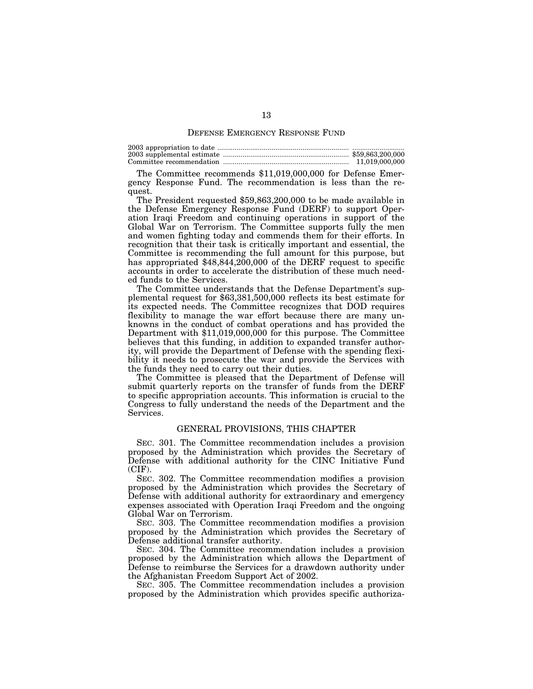#### DEFENSE EMERGENCY RESPONSE FUND

2003 appropriation to date .................................................................... ........................... 2003 supplemental estimate ................................................................. \$59,863,200,000 Committee recommendation ................................................................. 11,019,000,000

The Committee recommends \$11,019,000,000 for Defense Emergency Response Fund. The recommendation is less than the request.

The President requested \$59,863,200,000 to be made available in the Defense Emergency Response Fund (DERF) to support Operation Iraqi Freedom and continuing operations in support of the Global War on Terrorism. The Committee supports fully the men and women fighting today and commends them for their efforts. In recognition that their task is critically important and essential, the Committee is recommending the full amount for this purpose, but has appropriated \$48,844,200,000 of the DERF request to specific accounts in order to accelerate the distribution of these much needed funds to the Services.

The Committee understands that the Defense Department's supplemental request for \$63,381,500,000 reflects its best estimate for its expected needs. The Committee recognizes that DOD requires flexibility to manage the war effort because there are many unknowns in the conduct of combat operations and has provided the Department with \$11,019,000,000 for this purpose. The Committee believes that this funding, in addition to expanded transfer authority, will provide the Department of Defense with the spending flexibility it needs to prosecute the war and provide the Services with the funds they need to carry out their duties.

The Committee is pleased that the Department of Defense will submit quarterly reports on the transfer of funds from the DERF to specific appropriation accounts. This information is crucial to the Congress to fully understand the needs of the Department and the Services.

#### GENERAL PROVISIONS, THIS CHAPTER

SEC. 301. The Committee recommendation includes a provision proposed by the Administration which provides the Secretary of Defense with additional authority for the CINC Initiative Fund  $(CIF).$ 

SEC. 302. The Committee recommendation modifies a provision proposed by the Administration which provides the Secretary of Defense with additional authority for extraordinary and emergency expenses associated with Operation Iraqi Freedom and the ongoing Global War on Terrorism.

SEC. 303. The Committee recommendation modifies a provision proposed by the Administration which provides the Secretary of Defense additional transfer authority.

SEC. 304. The Committee recommendation includes a provision proposed by the Administration which allows the Department of Defense to reimburse the Services for a drawdown authority under the Afghanistan Freedom Support Act of 2002.

SEC. 305. The Committee recommendation includes a provision proposed by the Administration which provides specific authoriza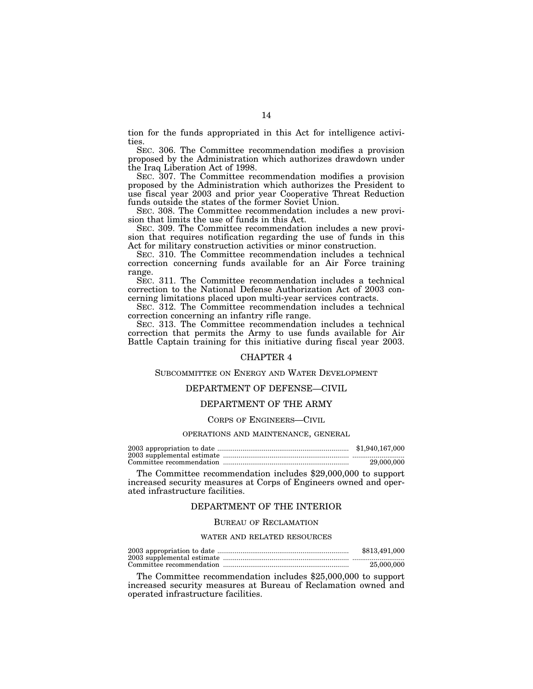tion for the funds appropriated in this Act for intelligence activities.

SEC. 306. The Committee recommendation modifies a provision proposed by the Administration which authorizes drawdown under the Iraq Liberation Act of 1998.

SEC. 307. The Committee recommendation modifies a provision proposed by the Administration which authorizes the President to use fiscal year 2003 and prior year Cooperative Threat Reduction funds outside the states of the former Soviet Union.

SEC. 308. The Committee recommendation includes a new provision that limits the use of funds in this Act.

SEC. 309. The Committee recommendation includes a new provision that requires notification regarding the use of funds in this Act for military construction activities or minor construction.

SEC. 310. The Committee recommendation includes a technical correction concerning funds available for an Air Force training range.

SEC. 311. The Committee recommendation includes a technical correction to the National Defense Authorization Act of 2003 concerning limitations placed upon multi-year services contracts.

SEC. 312. The Committee recommendation includes a technical correction concerning an infantry rifle range.

SEC. 313. The Committee recommendation includes a technical correction that permits the Army to use funds available for Air Battle Captain training for this initiative during fiscal year 2003.

#### CHAPTER 4

## SUBCOMMITTEE ON ENERGY AND WATER DEVELOPMENT

# DEPARTMENT OF DEFENSE—CIVIL

# DEPARTMENT OF THE ARMY

#### CORPS OF ENGINEERS—CIVIL

#### OPERATIONS AND MAINTENANCE, GENERAL

| \$1,940,167,000 |
|-----------------|
|                 |
| 29,000,000      |

The Committee recommendation includes \$29,000,000 to support increased security measures at Corps of Engineers owned and operated infrastructure facilities.

## DEPARTMENT OF THE INTERIOR

#### BUREAU OF RECLAMATION

#### WATER AND RELATED RESOURCES

| \$813,491,000 |
|---------------|
|               |
| 25,000,000    |

The Committee recommendation includes \$25,000,000 to support increased security measures at Bureau of Reclamation owned and operated infrastructure facilities.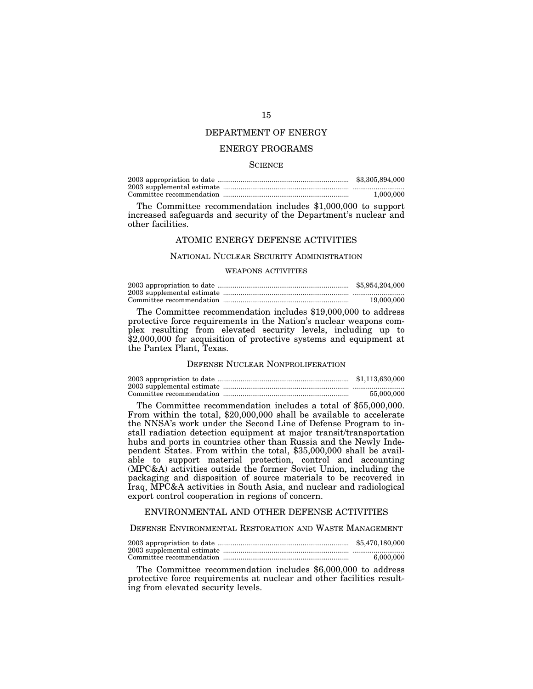# DEPARTMENT OF ENERGY

# ENERGY PROGRAMS

#### **SCIENCE**

| \$3,305,894,000 |
|-----------------|
|                 |
| 1.000.000       |

The Committee recommendation includes \$1,000,000 to support increased safeguards and security of the Department's nuclear and other facilities.

## ATOMIC ENERGY DEFENSE ACTIVITIES

#### NATIONAL NUCLEAR SECURITY ADMINISTRATION

#### WEAPONS ACTIVITIES

| \$5,954,204,000 |
|-----------------|
|                 |
| 19.000.000      |

The Committee recommendation includes \$19,000,000 to address protective force requirements in the Nation's nuclear weapons complex resulting from elevated security levels, including up to \$2,000,000 for acquisition of protective systems and equipment at the Pantex Plant, Texas.

# DEFENSE NUCLEAR NONPROLIFERATION

| \$1,113,630,000 |
|-----------------|
|                 |
| 55,000,000      |

The Committee recommendation includes a total of \$55,000,000. From within the total, \$20,000,000 shall be available to accelerate the NNSA's work under the Second Line of Defense Program to install radiation detection equipment at major transit/transportation hubs and ports in countries other than Russia and the Newly Independent States. From within the total, \$35,000,000 shall be available to support material protection, control and accounting (MPC&A) activities outside the former Soviet Union, including the packaging and disposition of source materials to be recovered in Iraq, MPC&A activities in South Asia, and nuclear and radiological export control cooperation in regions of concern.

## ENVIRONMENTAL AND OTHER DEFENSE ACTIVITIES

DEFENSE ENVIRONMENTAL RESTORATION AND WASTE MANAGEMENT

| \$5,470,180,000 |
|-----------------|
|                 |
| 6.000.000       |

The Committee recommendation includes \$6,000,000 to address protective force requirements at nuclear and other facilities resulting from elevated security levels.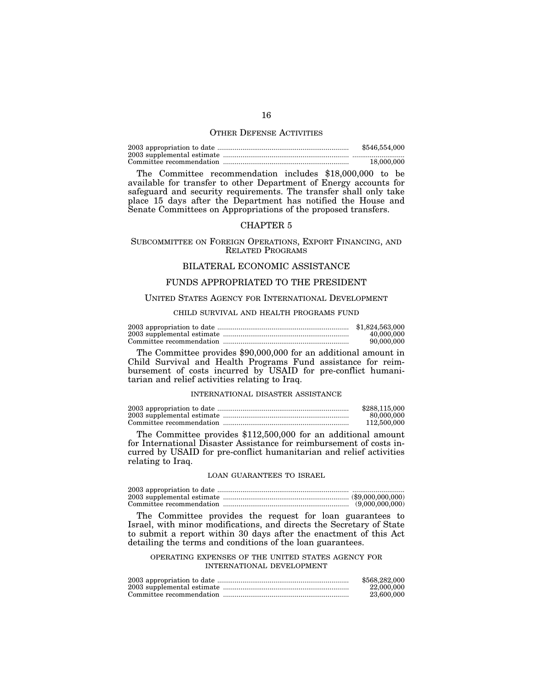#### OTHER DEFENSE ACTIVITIES

2003 appropriation to date .................................................................... \$546,554,000 2003 supplemental estimate ................................................................. ........................... Committee recommendation ................................................................. 18,000,000

The Committee recommendation includes \$18,000,000 to be available for transfer to other Department of Energy accounts for safeguard and security requirements. The transfer shall only take place 15 days after the Department has notified the House and Senate Committees on Appropriations of the proposed transfers.

## CHAPTER 5

## SUBCOMMITTEE ON FOREIGN OPERATIONS, EXPORT FINANCING, AND RELATED PROGRAMS

# BILATERAL ECONOMIC ASSISTANCE

# FUNDS APPROPRIATED TO THE PRESIDENT

#### UNITED STATES AGENCY FOR INTERNATIONAL DEVELOPMENT

## CHILD SURVIVAL AND HEALTH PROGRAMS FUND

| \$1,824,563,000 |
|-----------------|
| 40,000,000      |
| 90,000,000      |

The Committee provides \$90,000,000 for an additional amount in Child Survival and Health Programs Fund assistance for reimbursement of costs incurred by USAID for pre-conflict humanitarian and relief activities relating to Iraq.

#### INTERNATIONAL DISASTER ASSISTANCE

| \$288,115,000 |
|---------------|
| 80,000,000    |
| 112,500,000   |

The Committee provides \$112,500,000 for an additional amount for International Disaster Assistance for reimbursement of costs incurred by USAID for pre-conflict humanitarian and relief activities relating to Iraq.

#### LOAN GUARANTEES TO ISRAEL

2003 appropriation to date .................................................................... ........................... 2003 supplemental estimate ................................................................. (\$9,000,000,000) Committee recommendation ................................................................. (9,000,000,000)

The Committee provides the request for loan guarantees to Israel, with minor modifications, and directs the Secretary of State to submit a report within 30 days after the enactment of this Act detailing the terms and conditions of the loan guarantees.

#### OPERATING EXPENSES OF THE UNITED STATES AGENCY FOR INTERNATIONAL DEVELOPMENT

| \$568,282,000 |
|---------------|
| 22,000,000    |
| 23,600,000    |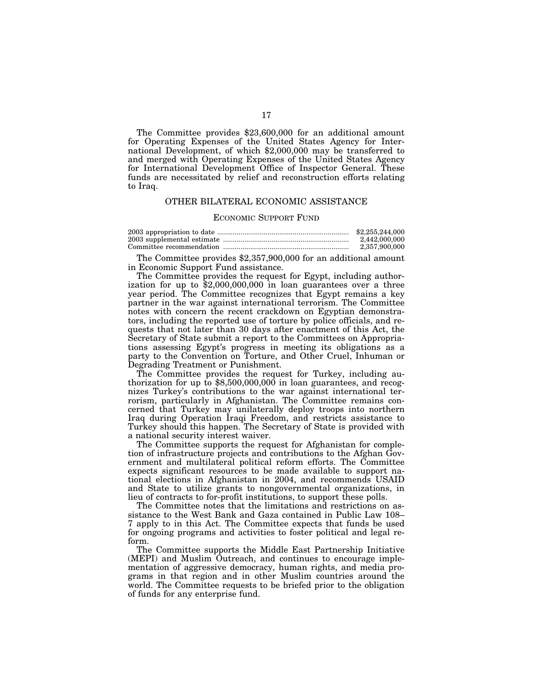The Committee provides \$23,600,000 for an additional amount for Operating Expenses of the United States Agency for International Development, of which \$2,000,000 may be transferred to and merged with Operating Expenses of the United States Agency for International Development Office of Inspector General. These funds are necessitated by relief and reconstruction efforts relating to Iraq.

#### OTHER BILATERAL ECONOMIC ASSISTANCE

#### ECONOMIC SUPPORT FUND

| \$2,255,244,000 |
|-----------------|
| 2.442.000.000   |
| 2,357,900,000   |

The Committee provides \$2,357,900,000 for an additional amount in Economic Support Fund assistance.

The Committee provides the request for Egypt, including authorization for up to \$2,000,000,000 in loan guarantees over a three year period. The Committee recognizes that Egypt remains a key partner in the war against international terrorism. The Committee notes with concern the recent crackdown on Egyptian demonstrators, including the reported use of torture by police officials, and requests that not later than 30 days after enactment of this Act, the Secretary of State submit a report to the Committees on Appropriations assessing Egypt's progress in meeting its obligations as a party to the Convention on Torture, and Other Cruel, Inhuman or Degrading Treatment or Punishment.

The Committee provides the request for Turkey, including authorization for up to \$8,500,000,000 in loan guarantees, and recognizes Turkey's contributions to the war against international terrorism, particularly in Afghanistan. The Committee remains concerned that Turkey may unilaterally deploy troops into northern Iraq during Operation Iraqi Freedom, and restricts assistance to Turkey should this happen. The Secretary of State is provided with a national security interest waiver.

The Committee supports the request for Afghanistan for completion of infrastructure projects and contributions to the Afghan Government and multilateral political reform efforts. The Committee expects significant resources to be made available to support national elections in Afghanistan in 2004, and recommends USAID and State to utilize grants to nongovernmental organizations, in lieu of contracts to for-profit institutions, to support these polls.

The Committee notes that the limitations and restrictions on assistance to the West Bank and Gaza contained in Public Law 108– 7 apply to in this Act. The Committee expects that funds be used for ongoing programs and activities to foster political and legal reform.

The Committee supports the Middle East Partnership Initiative (MEPI) and Muslim Outreach, and continues to encourage implementation of aggressive democracy, human rights, and media programs in that region and in other Muslim countries around the world. The Committee requests to be briefed prior to the obligation of funds for any enterprise fund.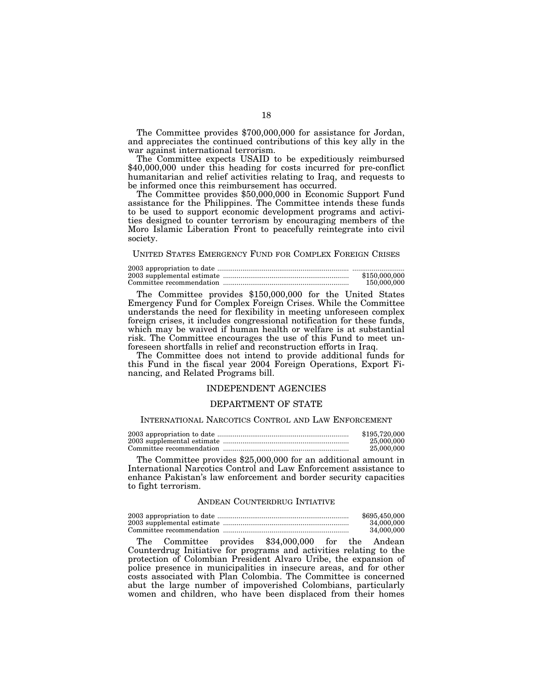The Committee provides \$700,000,000 for assistance for Jordan, and appreciates the continued contributions of this key ally in the war against international terrorism.

The Committee expects USAID to be expeditiously reimbursed \$40,000,000 under this heading for costs incurred for pre-conflict humanitarian and relief activities relating to Iraq, and requests to be informed once this reimbursement has occurred.

The Committee provides \$50,000,000 in Economic Support Fund assistance for the Philippines. The Committee intends these funds to be used to support economic development programs and activities designed to counter terrorism by encouraging members of the Moro Islamic Liberation Front to peacefully reintegrate into civil society.

## UNITED STATES EMERGENCY FUND FOR COMPLEX FOREIGN CRISES

| \$150,000,000 |
|---------------|
| 150,000,000   |

The Committee provides \$150,000,000 for the United States Emergency Fund for Complex Foreign Crises. While the Committee understands the need for flexibility in meeting unforeseen complex foreign crises, it includes congressional notification for these funds, which may be waived if human health or welfare is at substantial risk. The Committee encourages the use of this Fund to meet unforeseen shortfalls in relief and reconstruction efforts in Iraq.

The Committee does not intend to provide additional funds for this Fund in the fiscal year 2004 Foreign Operations, Export Financing, and Related Programs bill.

# INDEPENDENT AGENCIES

## DEPARTMENT OF STATE

#### INTERNATIONAL NARCOTICS CONTROL AND LAW ENFORCEMENT

| \$195,720,000 |
|---------------|
| 25,000,000    |
| 25,000,000    |

The Committee provides \$25,000,000 for an additional amount in International Narcotics Control and Law Enforcement assistance to enhance Pakistan's law enforcement and border security capacities to fight terrorism.

#### ANDEAN COUNTERDRUG INTIATIVE

| \$695,450,000 |
|---------------|
| 34,000,000    |
| 34.000.000    |

The Committee provides \$34,000,000 for the Andean Counterdrug Initiative for programs and activities relating to the protection of Colombian President Alvaro Uribe, the expansion of police presence in municipalities in insecure areas, and for other costs associated with Plan Colombia. The Committee is concerned abut the large number of impoverished Colombians, particularly women and children, who have been displaced from their homes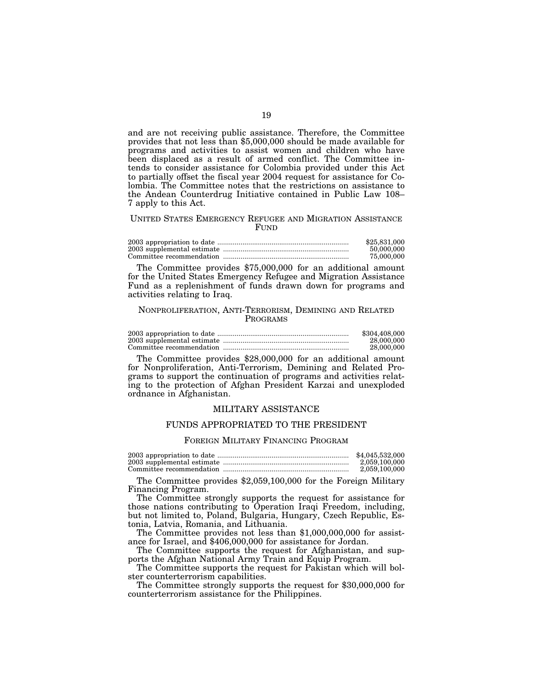and are not receiving public assistance. Therefore, the Committee provides that not less than \$5,000,000 should be made available for programs and activities to assist women and children who have been displaced as a result of armed conflict. The Committee intends to consider assistance for Colombia provided under this Act to partially offset the fiscal year 2004 request for assistance for Colombia. The Committee notes that the restrictions on assistance to the Andean Counterdrug Initiative contained in Public Law 108– 7 apply to this Act.

#### UNITED STATES EMERGENCY REFUGEE AND MIGRATION ASSISTANCE **FUND**

| \$25,831,000 |
|--------------|
| 50,000,000   |
| 75,000,000   |

The Committee provides \$75,000,000 for an additional amount for the United States Emergency Refugee and Migration Assistance Fund as a replenishment of funds drawn down for programs and activities relating to Iraq.

## NONPROLIFERATION, ANTI-TERRORISM, DEMINING AND RELATED PROGRAMS

| \$304,408,000 |
|---------------|
| 28,000,000    |
| 28,000,000    |

The Committee provides \$28,000,000 for an additional amount for Nonproliferation, Anti-Terrorism, Demining and Related Programs to support the continuation of programs and activities relating to the protection of Afghan President Karzai and unexploded ordnance in Afghanistan.

## MILITARY ASSISTANCE

# FUNDS APPROPRIATED TO THE PRESIDENT

#### FOREIGN MILITARY FINANCING PROGRAM

| \$4,045,532,000 |
|-----------------|
| 2.059.100.000   |
| 2.059.100.000   |

The Committee provides \$2,059,100,000 for the Foreign Military Financing Program.

The Committee strongly supports the request for assistance for those nations contributing to Operation Iraqi Freedom, including, but not limited to, Poland, Bulgaria, Hungary, Czech Republic, Estonia, Latvia, Romania, and Lithuania.

The Committee provides not less than \$1,000,000,000 for assistance for Israel, and \$406,000,000 for assistance for Jordan.

The Committee supports the request for Afghanistan, and supports the Afghan National Army Train and Equip Program.

The Committee supports the request for Pakistan which will bolster counterterrorism capabilities.

The Committee strongly supports the request for \$30,000,000 for counterterrorism assistance for the Philippines.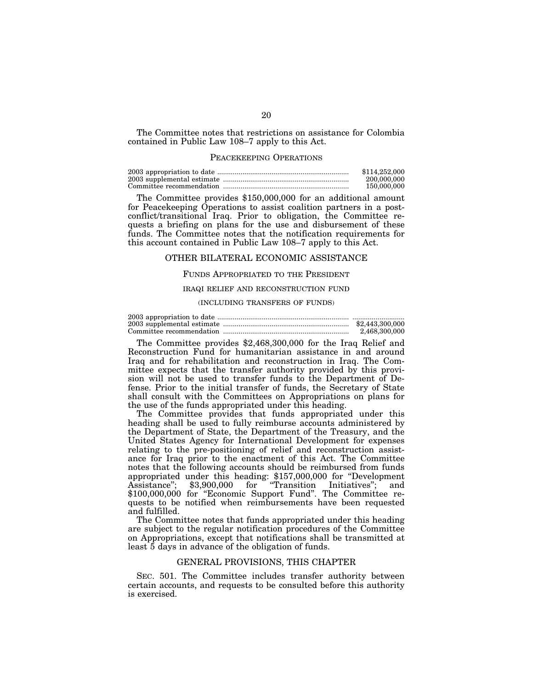The Committee notes that restrictions on assistance for Colombia contained in Public Law 108–7 apply to this Act.

#### PEACEKEEPING OPERATIONS

| \$114,252,000 |
|---------------|
| 200,000,000   |
| 150,000,000   |

The Committee provides \$150,000,000 for an additional amount for Peacekeeping Operations to assist coalition partners in a postconflict/transitional Iraq. Prior to obligation, the Committee requests a briefing on plans for the use and disbursement of these funds. The Committee notes that the notification requirements for this account contained in Public Law 108–7 apply to this Act.

#### OTHER BILATERAL ECONOMIC ASSISTANCE

## FUNDS APPROPRIATED TO THE PRESIDENT

#### IRAQI RELIEF AND RECONSTRUCTION FUND

#### (INCLUDING TRANSFERS OF FUNDS)

|  | \$2,443,300,000 |
|--|-----------------|
|  | 2.468.300.000   |

The Committee provides \$2,468,300,000 for the Iraq Relief and Reconstruction Fund for humanitarian assistance in and around Iraq and for rehabilitation and reconstruction in Iraq. The Committee expects that the transfer authority provided by this provision will not be used to transfer funds to the Department of Defense. Prior to the initial transfer of funds, the Secretary of State shall consult with the Committees on Appropriations on plans for the use of the funds appropriated under this heading.

The Committee provides that funds appropriated under this heading shall be used to fully reimburse accounts administered by the Department of State, the Department of the Treasury, and the United States Agency for International Development for expenses relating to the pre-positioning of relief and reconstruction assistance for Iraq prior to the enactment of this Act. The Committee notes that the following accounts should be reimbursed from funds appropriated under this heading: \$157,000,000 for ''Development Assistance''; \$3,900,000 for ''Transition Initiatives''; and \$100,000,000 for "Economic Support Fund". The Committee requests to be notified when reimbursements have been requested and fulfilled.

The Committee notes that funds appropriated under this heading are subject to the regular notification procedures of the Committee on Appropriations, except that notifications shall be transmitted at least 5 days in advance of the obligation of funds.

#### GENERAL PROVISIONS, THIS CHAPTER

SEC. 501. The Committee includes transfer authority between certain accounts, and requests to be consulted before this authority is exercised.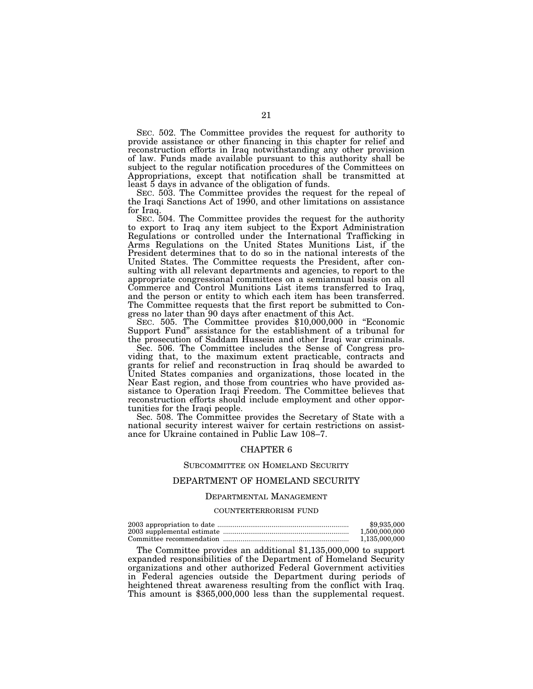SEC. 502. The Committee provides the request for authority to provide assistance or other financing in this chapter for relief and reconstruction efforts in Iraq notwithstanding any other provision of law. Funds made available pursuant to this authority shall be subject to the regular notification procedures of the Committees on Appropriations, except that notification shall be transmitted at least 5 days in advance of the obligation of funds.

SEC. 503. The Committee provides the request for the repeal of the Iraqi Sanctions Act of 1990, and other limitations on assistance for Iraq.

SEC. 504. The Committee provides the request for the authority to export to Iraq any item subject to the Export Administration Regulations or controlled under the International Trafficking in Arms Regulations on the United States Munitions List, if the President determines that to do so in the national interests of the United States. The Committee requests the President, after consulting with all relevant departments and agencies, to report to the appropriate congressional committees on a semiannual basis on all Commerce and Control Munitions List items transferred to Iraq, and the person or entity to which each item has been transferred. The Committee requests that the first report be submitted to Congress no later than 90 days after enactment of this Act.

SEC. 505. The Committee provides \$10,000,000 in "Economic Support Fund'' assistance for the establishment of a tribunal for the prosecution of Saddam Hussein and other Iraqi war criminals.

Sec. 506. The Committee includes the Sense of Congress providing that, to the maximum extent practicable, contracts and grants for relief and reconstruction in Iraq should be awarded to United States companies and organizations, those located in the Near East region, and those from countries who have provided assistance to Operation Iraqi Freedom. The Committee believes that reconstruction efforts should include employment and other opportunities for the Iraqi people.

Sec. 508. The Committee provides the Secretary of State with a national security interest waiver for certain restrictions on assistance for Ukraine contained in Public Law 108–7.

## CHAPTER 6

#### SUBCOMMITTEE ON HOMELAND SECURITY

## DEPARTMENT OF HOMELAND SECURITY

#### DEPARTMENTAL MANAGEMENT

#### COUNTERTERRORISM FUND

| \$9,935,000   |
|---------------|
| 1.500.000.000 |
| 1.135.000.000 |

The Committee provides an additional \$1,135,000,000 to support expanded responsibilities of the Department of Homeland Security organizations and other authorized Federal Government activities in Federal agencies outside the Department during periods of heightened threat awareness resulting from the conflict with Iraq. This amount is \$365,000,000 less than the supplemental request.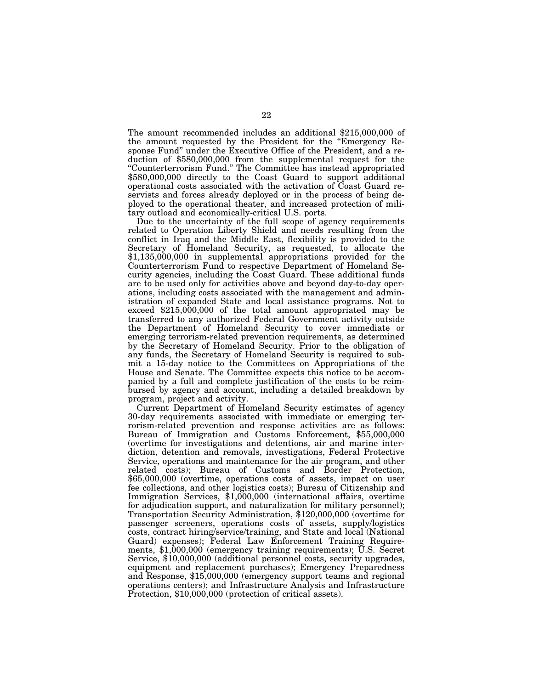The amount recommended includes an additional \$215,000,000 of the amount requested by the President for the ''Emergency Response Fund'' under the Executive Office of the President, and a reduction of \$580,000,000 from the supplemental request for the ''Counterterrorism Fund.'' The Committee has instead appropriated \$580,000,000 directly to the Coast Guard to support additional operational costs associated with the activation of Coast Guard reservists and forces already deployed or in the process of being deployed to the operational theater, and increased protection of military outload and economically-critical U.S. ports.

Due to the uncertainty of the full scope of agency requirements related to Operation Liberty Shield and needs resulting from the conflict in Iraq and the Middle East, flexibility is provided to the Secretary of Homeland Security, as requested, to allocate the \$1,135,000,000 in supplemental appropriations provided for the Counterterrorism Fund to respective Department of Homeland Security agencies, including the Coast Guard. These additional funds are to be used only for activities above and beyond day-to-day operations, including costs associated with the management and administration of expanded State and local assistance programs. Not to exceed \$215,000,000 of the total amount appropriated may be transferred to any authorized Federal Government activity outside the Department of Homeland Security to cover immediate or emerging terrorism-related prevention requirements, as determined by the Secretary of Homeland Security. Prior to the obligation of any funds, the Secretary of Homeland Security is required to submit a 15-day notice to the Committees on Appropriations of the House and Senate. The Committee expects this notice to be accompanied by a full and complete justification of the costs to be reimbursed by agency and account, including a detailed breakdown by program, project and activity.

Current Department of Homeland Security estimates of agency 30-day requirements associated with immediate or emerging terrorism-related prevention and response activities are as follows: Bureau of Immigration and Customs Enforcement, \$55,000,000 (overtime for investigations and detentions, air and marine interdiction, detention and removals, investigations, Federal Protective Service, operations and maintenance for the air program, and other related costs); Bureau of Customs and Border Protection, \$65,000,000 (overtime, operations costs of assets, impact on user fee collections, and other logistics costs); Bureau of Citizenship and Immigration Services, \$1,000,000 (international affairs, overtime for adjudication support, and naturalization for military personnel); Transportation Security Administration, \$120,000,000 (overtime for passenger screeners, operations costs of assets, supply/logistics costs, contract hiring/service/training, and State and local (National Guard) expenses); Federal Law Enforcement Training Requirements, \$1,000,000 (emergency training requirements); U.S. Secret Service, \$10,000,000 (additional personnel costs, security upgrades, equipment and replacement purchases); Emergency Preparedness and Response, \$15,000,000 (emergency support teams and regional operations centers); and Infrastructure Analysis and Infrastructure Protection, \$10,000,000 (protection of critical assets).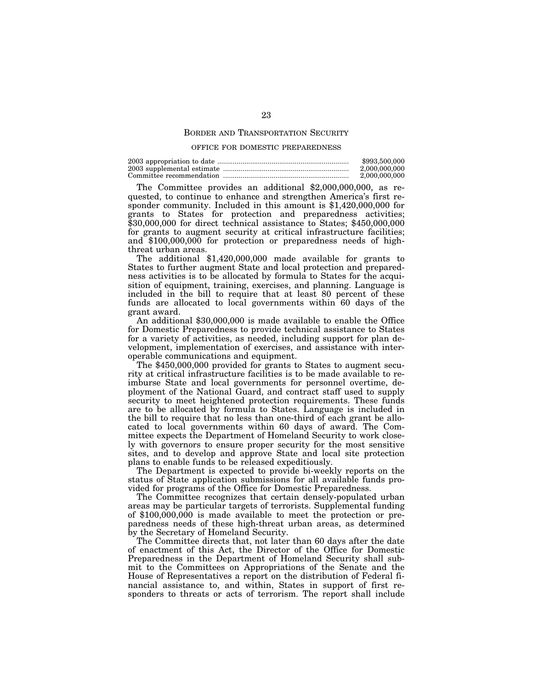## BORDER AND TRANSPORTATION SECURITY

#### OFFICE FOR DOMESTIC PREPAREDNESS

| \$993,500,000 |
|---------------|
| 2.000.000.000 |
| 2.000.000.000 |

The Committee provides an additional \$2,000,000,000, as requested, to continue to enhance and strengthen America's first responder community. Included in this amount is \$1,420,000,000 for grants to States for protection and preparedness activities; \$30,000,000 for direct technical assistance to States; \$450,000,000 for grants to augment security at critical infrastructure facilities; and \$100,000,000 for protection or preparedness needs of highthreat urban areas.

The additional \$1,420,000,000 made available for grants to States to further augment State and local protection and preparedness activities is to be allocated by formula to States for the acquisition of equipment, training, exercises, and planning. Language is included in the bill to require that at least 80 percent of these funds are allocated to local governments within 60 days of the grant award.

An additional \$30,000,000 is made available to enable the Office for Domestic Preparedness to provide technical assistance to States for a variety of activities, as needed, including support for plan development, implementation of exercises, and assistance with interoperable communications and equipment.

The \$450,000,000 provided for grants to States to augment security at critical infrastructure facilities is to be made available to reimburse State and local governments for personnel overtime, deployment of the National Guard, and contract staff used to supply security to meet heightened protection requirements. These funds are to be allocated by formula to States. Language is included in the bill to require that no less than one-third of each grant be allocated to local governments within 60 days of award. The Committee expects the Department of Homeland Security to work closely with governors to ensure proper security for the most sensitive sites, and to develop and approve State and local site protection plans to enable funds to be released expeditiously.

The Department is expected to provide bi-weekly reports on the status of State application submissions for all available funds provided for programs of the Office for Domestic Preparedness.

The Committee recognizes that certain densely-populated urban areas may be particular targets of terrorists. Supplemental funding of \$100,000,000 is made available to meet the protection or preparedness needs of these high-threat urban areas, as determined by the Secretary of Homeland Security.

The Committee directs that, not later than 60 days after the date of enactment of this Act, the Director of the Office for Domestic Preparedness in the Department of Homeland Security shall submit to the Committees on Appropriations of the Senate and the House of Representatives a report on the distribution of Federal financial assistance to, and within, States in support of first responders to threats or acts of terrorism. The report shall include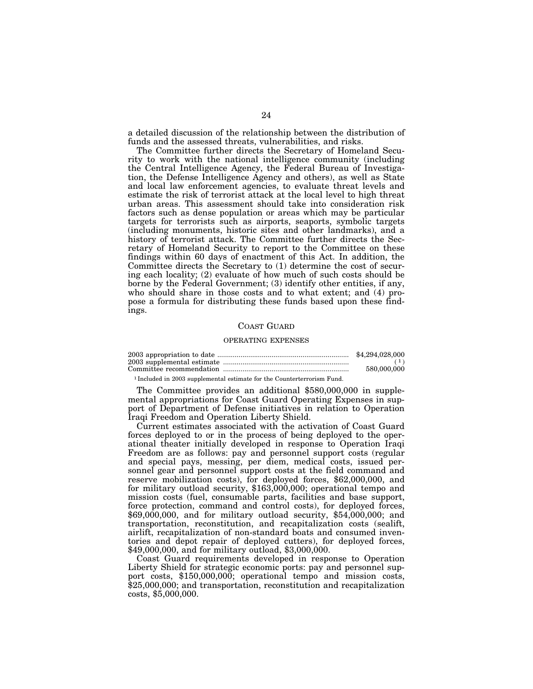a detailed discussion of the relationship between the distribution of funds and the assessed threats, vulnerabilities, and risks.

The Committee further directs the Secretary of Homeland Security to work with the national intelligence community (including the Central Intelligence Agency, the Federal Bureau of Investigation, the Defense Intelligence Agency and others), as well as State and local law enforcement agencies, to evaluate threat levels and estimate the risk of terrorist attack at the local level to high threat urban areas. This assessment should take into consideration risk factors such as dense population or areas which may be particular targets for terrorists such as airports, seaports, symbolic targets (including monuments, historic sites and other landmarks), and a history of terrorist attack. The Committee further directs the Secretary of Homeland Security to report to the Committee on these findings within 60 days of enactment of this Act. In addition, the Committee directs the Secretary to (1) determine the cost of securing each locality; (2) evaluate of how much of such costs should be borne by the Federal Government; (3) identify other entities, if any, who should share in those costs and to what extent; and (4) propose a formula for distributing these funds based upon these findings.

#### COAST GUARD

#### OPERATING EXPENSES

| \$4,294,028,000 |
|-----------------|
|                 |
| 580,000,000     |

<sup>1</sup> Included in 2003 supplemental estimate for the Counterterrorism Fund.

The Committee provides an additional \$580,000,000 in supplemental appropriations for Coast Guard Operating Expenses in support of Department of Defense initiatives in relation to Operation Iraqi Freedom and Operation Liberty Shield.

Current estimates associated with the activation of Coast Guard forces deployed to or in the process of being deployed to the operational theater initially developed in response to Operation Iraqi Freedom are as follows: pay and personnel support costs (regular and special pays, messing, per diem, medical costs, issued personnel gear and personnel support costs at the field command and reserve mobilization costs), for deployed forces, \$62,000,000, and for military outload security, \$163,000,000; operational tempo and mission costs (fuel, consumable parts, facilities and base support, force protection, command and control costs), for deployed forces, \$69,000,000, and for military outload security, \$54,000,000; and transportation, reconstitution, and recapitalization costs (sealift, airlift, recapitalization of non-standard boats and consumed inventories and depot repair of deployed cutters), for deployed forces, \$49,000,000, and for military outload, \$3,000,000.

Coast Guard requirements developed in response to Operation Liberty Shield for strategic economic ports: pay and personnel support costs, \$150,000,000; operational tempo and mission costs, \$25,000,000; and transportation, reconstitution and recapitalization costs, \$5,000,000.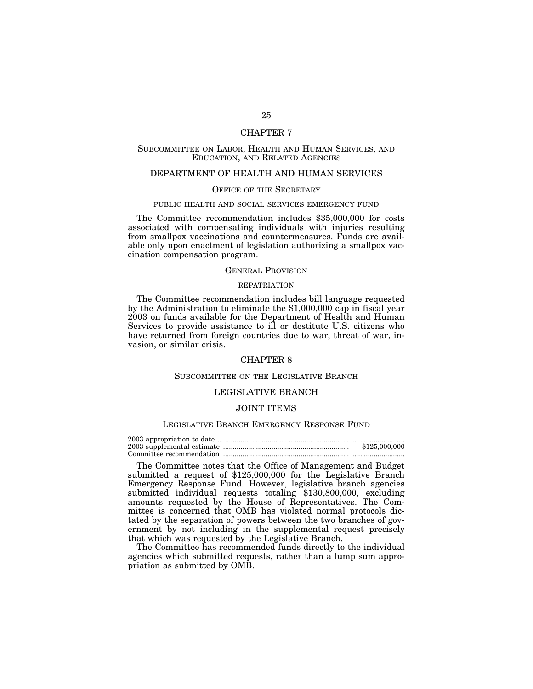## CHAPTER 7

# SUBCOMMITTEE ON LABOR, HEALTH AND HUMAN SERVICES, AND EDUCATION, AND RELATED AGENCIES

# DEPARTMENT OF HEALTH AND HUMAN SERVICES

## OFFICE OF THE SECRETARY

#### PUBLIC HEALTH AND SOCIAL SERVICES EMERGENCY FUND

The Committee recommendation includes \$35,000,000 for costs associated with compensating individuals with injuries resulting from smallpox vaccinations and countermeasures. Funds are available only upon enactment of legislation authorizing a smallpox vaccination compensation program.

#### GENERAL PROVISION

## REPATRIATION

The Committee recommendation includes bill language requested by the Administration to eliminate the \$1,000,000 cap in fiscal year 2003 on funds available for the Department of Health and Human Services to provide assistance to ill or destitute U.S. citizens who have returned from foreign countries due to war, threat of war, invasion, or similar crisis.

#### CHAPTER 8

## SUBCOMMITTEE ON THE LEGISLATIVE BRANCH

## LEGISLATIVE BRANCH

# JOINT ITEMS

#### LEGISLATIVE BRANCH EMERGENCY RESPONSE FUND

| \$125,000,000 |
|---------------|
|               |

The Committee notes that the Office of Management and Budget submitted a request of \$125,000,000 for the Legislative Branch Emergency Response Fund. However, legislative branch agencies submitted individual requests totaling \$130,800,000, excluding amounts requested by the House of Representatives. The Committee is concerned that OMB has violated normal protocols dictated by the separation of powers between the two branches of government by not including in the supplemental request precisely that which was requested by the Legislative Branch.

The Committee has recommended funds directly to the individual agencies which submitted requests, rather than a lump sum appropriation as submitted by OMB.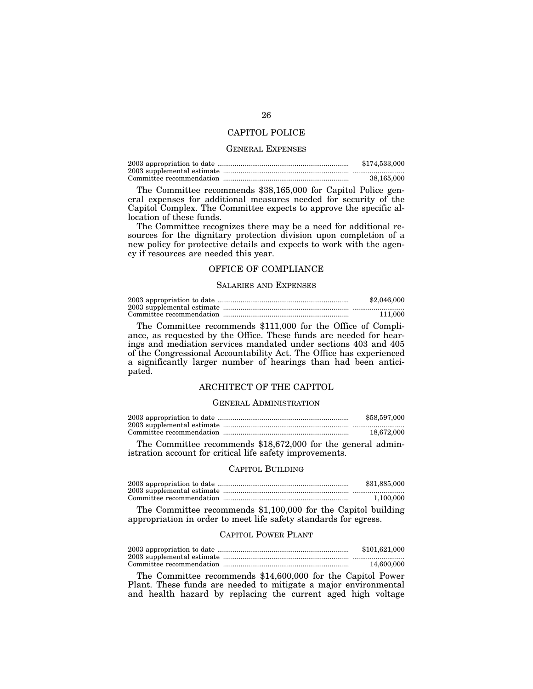## CAPITOL POLICE

#### GENERAL EXPENSES

| \$174,533,000 |
|---------------|
|               |
| 38.165.000    |

The Committee recommends \$38,165,000 for Capitol Police general expenses for additional measures needed for security of the Capitol Complex. The Committee expects to approve the specific allocation of these funds.

The Committee recognizes there may be a need for additional resources for the dignitary protection division upon completion of a new policy for protective details and expects to work with the agency if resources are needed this year.

## OFFICE OF COMPLIANCE

#### SALARIES AND EXPENSES

| \$2,046,000 |
|-------------|
|             |
| 111.000     |

The Committee recommends \$111,000 for the Office of Compliance, as requested by the Office. These funds are needed for hearings and mediation services mandated under sections 403 and 405 of the Congressional Accountability Act. The Office has experienced a significantly larger number of hearings than had been anticipated.

# ARCHITECT OF THE CAPITOL

## GENERAL ADMINISTRATION

| \$58,597,000 |
|--------------|
|              |
| 18.672.000   |

The Committee recommends \$18,672,000 for the general administration account for critical life safety improvements.

## CAPITOL BUILDING

| \$31,885,000 |
|--------------|
|              |
| 1.100.000    |

The Committee recommends \$1,100,000 for the Capitol building appropriation in order to meet life safety standards for egress.

## CAPITOL POWER PLANT

| \$101,621,000 |
|---------------|
|               |
| 14,600,000    |

The Committee recommends \$14,600,000 for the Capitol Power Plant. These funds are needed to mitigate a major environmental and health hazard by replacing the current aged high voltage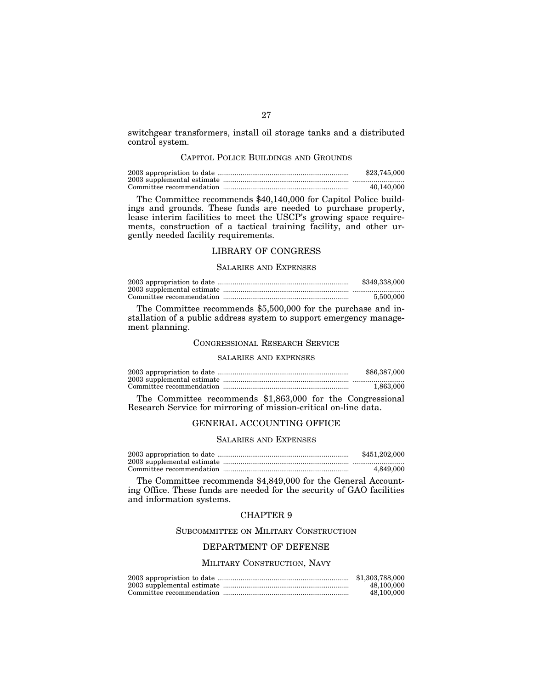switchgear transformers, install oil storage tanks and a distributed control system.

## CAPITOL POLICE BUILDINGS AND GROUNDS

| \$23,745,000 |
|--------------|
|              |
| 40.140.000   |

The Committee recommends \$40,140,000 for Capitol Police buildings and grounds. These funds are needed to purchase property, lease interim facilities to meet the USCP's growing space requirements, construction of a tactical training facility, and other urgently needed facility requirements.

## LIBRARY OF CONGRESS

## SALARIES AND EXPENSES

| \$349,338,000 |
|---------------|
|               |
| 5.500,000     |

The Committee recommends \$5,500,000 for the purchase and installation of a public address system to support emergency management planning.

#### CONGRESSIONAL RESEARCH SERVICE

#### SALARIES AND EXPENSES

| \$86,387,000 |
|--------------|
|              |
| 1,863,000    |

The Committee recommends \$1,863,000 for the Congressional Research Service for mirroring of mission-critical on-line data.

# GENERAL ACCOUNTING OFFICE

#### SALARIES AND EXPENSES

| \$451,202,000 |
|---------------|
|               |
| 4.849.000     |

The Committee recommends \$4,849,000 for the General Accounting Office. These funds are needed for the security of GAO facilities and information systems.

# CHAPTER 9

SUBCOMMITTEE ON MILITARY CONSTRUCTION

# DEPARTMENT OF DEFENSE

## MILITARY CONSTRUCTION, NAVY

| \$1,303,788,000 |
|-----------------|
| 48,100,000      |
| 48,100,000      |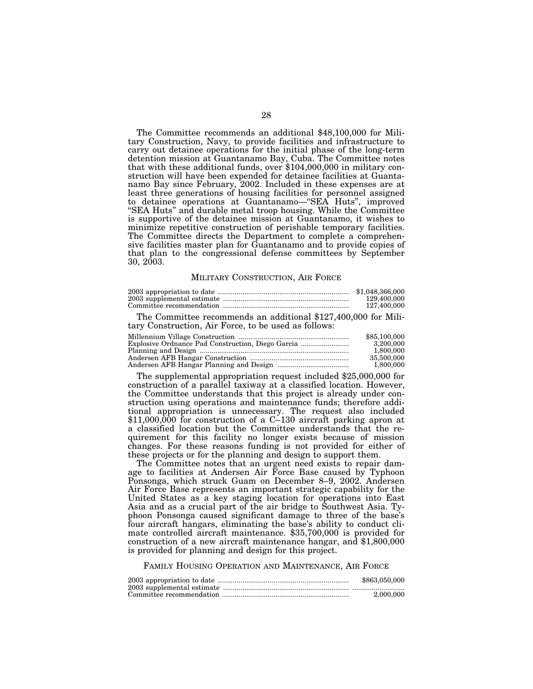The Committee recommends an additional \$48,100,000 for Military Construction, Navy, to provide facilities and infrastructure to carry out detainee operations for the initial phase of the long-term detention mission at Guantanamo Bay, Cuba. The Committee notes that with these additional funds, over \$104,000,000 in military construction will have been expended for detainee facilities at Guantanamo Bay since February, 2002. Included in these expenses are at least three generations of housing facilities for personnel assigned to detainee operations at Guantanamo—''SEA Huts'', improved ''SEA Huts'' and durable metal troop housing. While the Committee is supportive of the detainee mission at Guantanamo, it wishes to minimize repetitive construction of perishable temporary facilities. The Committee directs the Department to complete a comprehensive facilities master plan for Guantanamo and to provide copies of that plan to the congressional defense committees by September 30, 2003.

#### MILITARY CONSTRUCTION, AIR FORCE

| \$1.048.366.000 |
|-----------------|
| 129,400,000     |
| 127.400.000     |

The Committee recommends an additional \$127,400,000 for Military Construction, Air Force, to be used as follows:

| \$85,100,000 |
|--------------|
| 3.200.000    |
| 1.800.000    |
| 35,500,000   |
| 1,800,000    |

The supplemental appropriation request included \$25,000,000 for construction of a parallel taxiway at a classified location. However, the Committee understands that this project is already under construction using operations and maintenance funds; therefore additional appropriation is unnecessary. The request also included \$11,000,000 for construction of a C–130 aircraft parking apron at a classified location but the Committee understands that the requirement for this facility no longer exists because of mission changes. For these reasons funding is not provided for either of these projects or for the planning and design to support them.

The Committee notes that an urgent need exists to repair damage to facilities at Andersen Air Force Base caused by Typhoon Ponsonga, which struck Guam on December 8–9, 2002. Andersen Air Force Base represents an important strategic capability for the United States as a key staging location for operations into East Asia and as a crucial part of the air bridge to Southwest Asia. Typhoon Ponsonga caused significant damage to three of the base's four aircraft hangars, eliminating the base's ability to conduct climate controlled aircraft maintenance. \$35,700,000 is provided for construction of a new aircraft maintenance hangar, and \$1,800,000 is provided for planning and design for this project.

## FAMILY HOUSING OPERATION AND MAINTENANCE, AIR FORCE

| \$863,050,000 |
|---------------|
|               |
| 2.000.000     |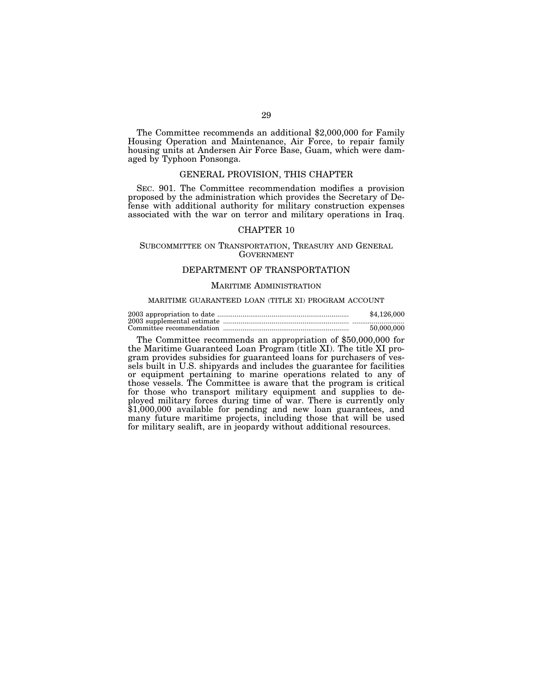The Committee recommends an additional \$2,000,000 for Family Housing Operation and Maintenance, Air Force, to repair family housing units at Andersen Air Force Base, Guam, which were damaged by Typhoon Ponsonga.

## GENERAL PROVISION, THIS CHAPTER

SEC. 901. The Committee recommendation modifies a provision proposed by the administration which provides the Secretary of Defense with additional authority for military construction expenses associated with the war on terror and military operations in Iraq.

## CHAPTER 10

## SUBCOMMITTEE ON TRANSPORTATION, TREASURY AND GENERAL GOVERNMENT

## DEPARTMENT OF TRANSPORTATION

#### MARITIME ADMINISTRATION

#### MARITIME GUARANTEED LOAN (TITLE XI) PROGRAM ACCOUNT

| \$4,126,000 |
|-------------|
|             |
| 50.000.000  |

The Committee recommends an appropriation of \$50,000,000 for the Maritime Guaranteed Loan Program (title XI). The title XI program provides subsidies for guaranteed loans for purchasers of vessels built in U.S. shipyards and includes the guarantee for facilities or equipment pertaining to marine operations related to any of those vessels. The Committee is aware that the program is critical for those who transport military equipment and supplies to deployed military forces during time of war. There is currently only \$1,000,000 available for pending and new loan guarantees, and many future maritime projects, including those that will be used for military sealift, are in jeopardy without additional resources.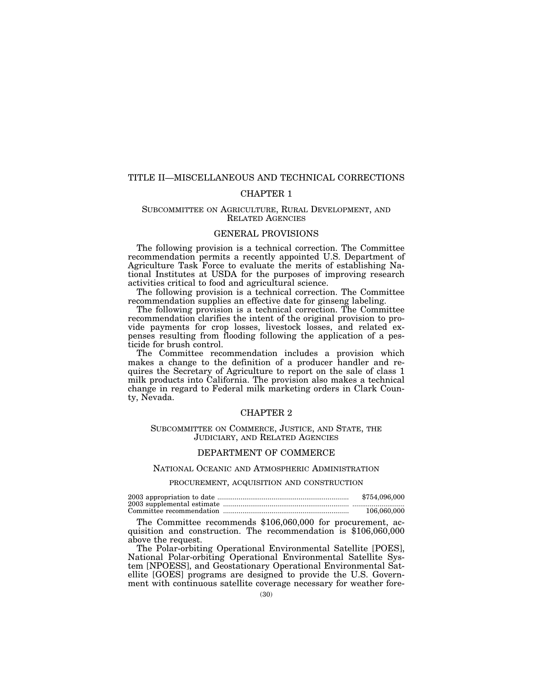# TITLE II—MISCELLANEOUS AND TECHNICAL CORRECTIONS

# CHAPTER 1

## SUBCOMMITTEE ON AGRICULTURE, RURAL DEVELOPMENT, AND RELATED AGENCIES

## GENERAL PROVISIONS

The following provision is a technical correction. The Committee recommendation permits a recently appointed U.S. Department of Agriculture Task Force to evaluate the merits of establishing National Institutes at USDA for the purposes of improving research activities critical to food and agricultural science.

The following provision is a technical correction. The Committee recommendation supplies an effective date for ginseng labeling.

The following provision is a technical correction. The Committee recommendation clarifies the intent of the original provision to provide payments for crop losses, livestock losses, and related expenses resulting from flooding following the application of a pesticide for brush control.

The Committee recommendation includes a provision which makes a change to the definition of a producer handler and requires the Secretary of Agriculture to report on the sale of class 1 milk products into California. The provision also makes a technical change in regard to Federal milk marketing orders in Clark County, Nevada.

## CHAPTER 2

## SUBCOMMITTEE ON COMMERCE, JUSTICE, AND STATE, THE JUDICIARY, AND RELATED AGENCIES

#### DEPARTMENT OF COMMERCE

## NATIONAL OCEANIC AND ATMOSPHERIC ADMINISTRATION

## PROCUREMENT, ACQUISITION AND CONSTRUCTION

| \$754,096,000 |
|---------------|
|               |
| 106,060,000   |

The Committee recommends \$106,060,000 for procurement, ac- quisition and construction. The recommendation is \$106,060,000 above the request.

The Polar-orbiting Operational Environmental Satellite [POES], National Polar-orbiting Operational Environmental Satellite System [NPOESS], and Geostationary Operational Environmental Satellite [GOES] programs are designed to provide the U.S. Government with continuous satellite coverage necessary for weather fore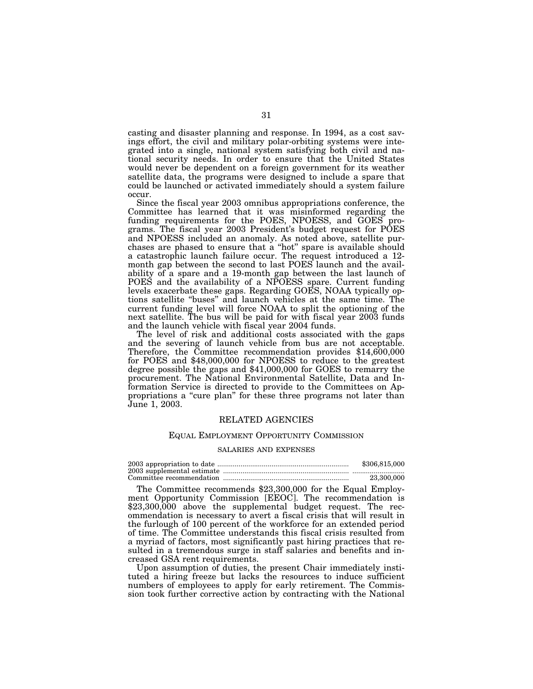casting and disaster planning and response. In 1994, as a cost savings effort, the civil and military polar-orbiting systems were integrated into a single, national system satisfying both civil and national security needs. In order to ensure that the United States would never be dependent on a foreign government for its weather satellite data, the programs were designed to include a spare that could be launched or activated immediately should a system failure occur.

Since the fiscal year 2003 omnibus appropriations conference, the Committee has learned that it was misinformed regarding the funding requirements for the POES, NPOESS, and GOES programs. The fiscal year 2003 President's budget request for POES and NPOESS included an anomaly. As noted above, satellite purchases are phased to ensure that a ''hot'' spare is available should a catastrophic launch failure occur. The request introduced a 12 month gap between the second to last POES launch and the availability of a spare and a 19-month gap between the last launch of POES and the availability of a NPOESS spare. Current funding levels exacerbate these gaps. Regarding GOES, NOAA typically options satellite ''buses'' and launch vehicles at the same time. The current funding level will force NOAA to split the optioning of the next satellite. The bus will be paid for with fiscal year 2003 funds and the launch vehicle with fiscal year 2004 funds.

The level of risk and additional costs associated with the gaps and the severing of launch vehicle from bus are not acceptable. Therefore, the Committee recommendation provides \$14,600,000 for POES and \$48,000,000 for NPOESS to reduce to the greatest degree possible the gaps and \$41,000,000 for GOES to remarry the procurement. The National Environmental Satellite, Data and Information Service is directed to provide to the Committees on Appropriations a ''cure plan'' for these three programs not later than June 1, 2003.

#### RELATED AGENCIES

#### EQUAL EMPLOYMENT OPPORTUNITY COMMISSION

#### SALARIES AND EXPENSES

| \$306,815,000 |
|---------------|
|               |
| 23.300.000    |

The Committee recommends \$23,300,000 for the Equal Employment Opportunity Commission [EEOC]. The recommendation is \$23,300,000 above the supplemental budget request. The recommendation is necessary to avert a fiscal crisis that will result in the furlough of 100 percent of the workforce for an extended period of time. The Committee understands this fiscal crisis resulted from a myriad of factors, most significantly past hiring practices that resulted in a tremendous surge in staff salaries and benefits and increased GSA rent requirements.

Upon assumption of duties, the present Chair immediately instituted a hiring freeze but lacks the resources to induce sufficient numbers of employees to apply for early retirement. The Commission took further corrective action by contracting with the National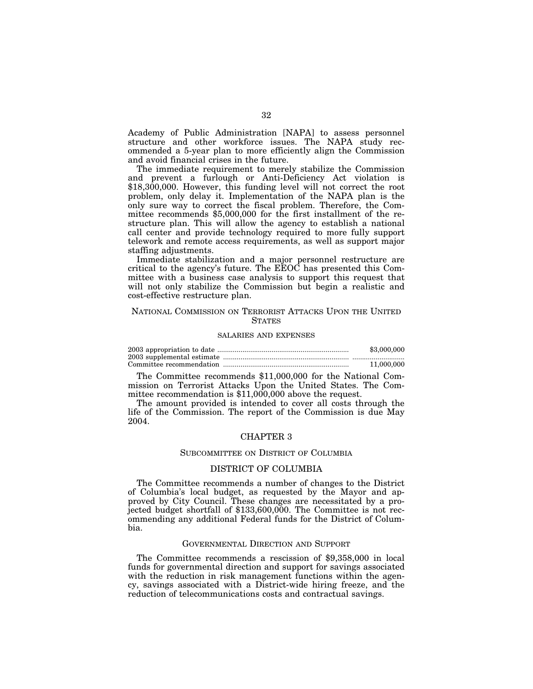Academy of Public Administration [NAPA] to assess personnel structure and other workforce issues. The NAPA study recommended a 5-year plan to more efficiently align the Commission and avoid financial crises in the future.

The immediate requirement to merely stabilize the Commission and prevent a furlough or Anti-Deficiency Act violation is \$18,300,000. However, this funding level will not correct the root problem, only delay it. Implementation of the NAPA plan is the only sure way to correct the fiscal problem. Therefore, the Committee recommends \$5,000,000 for the first installment of the restructure plan. This will allow the agency to establish a national call center and provide technology required to more fully support telework and remote access requirements, as well as support major staffing adjustments.

Immediate stabilization and a major personnel restructure are critical to the agency's future. The EEOC has presented this Committee with a business case analysis to support this request that will not only stabilize the Commission but begin a realistic and cost-effective restructure plan.

## NATIONAL COMMISSION ON TERRORIST ATTACKS UPON THE UNITED **STATES**

#### SALARIES AND EXPENSES

| \$3,000,000 |
|-------------|
|             |
| 11,000,000  |

The Committee recommends \$11,000,000 for the National Commission on Terrorist Attacks Upon the United States. The Committee recommendation is \$11,000,000 above the request.

The amount provided is intended to cover all costs through the life of the Commission. The report of the Commission is due May 2004.

## CHAPTER 3

#### SUBCOMMITTEE ON DISTRICT OF COLUMBIA

#### DISTRICT OF COLUMBIA

The Committee recommends a number of changes to the District of Columbia's local budget, as requested by the Mayor and approved by City Council. These changes are necessitated by a projected budget shortfall of \$133,600,000. The Committee is not recommending any additional Federal funds for the District of Columbia.

#### GOVERNMENTAL DIRECTION AND SUPPORT

The Committee recommends a rescission of \$9,358,000 in local funds for governmental direction and support for savings associated with the reduction in risk management functions within the agency, savings associated with a District-wide hiring freeze, and the reduction of telecommunications costs and contractual savings.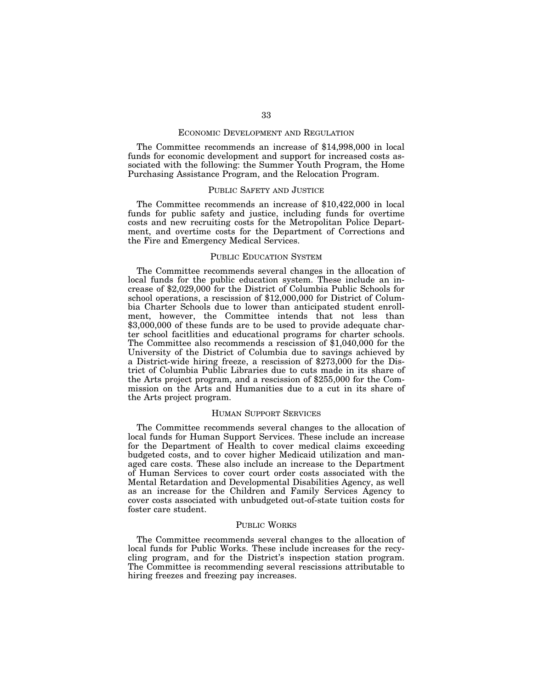#### ECONOMIC DEVELOPMENT AND REGULATION

The Committee recommends an increase of \$14,998,000 in local funds for economic development and support for increased costs associated with the following: the Summer Youth Program, the Home Purchasing Assistance Program, and the Relocation Program.

#### PUBLIC SAFETY AND JUSTICE

The Committee recommends an increase of \$10,422,000 in local funds for public safety and justice, including funds for overtime costs and new recruiting costs for the Metropolitan Police Department, and overtime costs for the Department of Corrections and the Fire and Emergency Medical Services.

#### PUBLIC EDUCATION SYSTEM

The Committee recommends several changes in the allocation of local funds for the public education system. These include an increase of \$2,029,000 for the District of Columbia Public Schools for school operations, a rescission of \$12,000,000 for District of Columbia Charter Schools due to lower than anticipated student enrollment, however, the Committee intends that not less than \$3,000,000 of these funds are to be used to provide adequate charter school facitlities and educational programs for charter schools. The Committee also recommends a rescission of \$1,040,000 for the University of the District of Columbia due to savings achieved by a District-wide hiring freeze, a rescission of \$273,000 for the District of Columbia Public Libraries due to cuts made in its share of the Arts project program, and a rescission of \$255,000 for the Commission on the Arts and Humanities due to a cut in its share of the Arts project program.

## HUMAN SUPPORT SERVICES

The Committee recommends several changes to the allocation of local funds for Human Support Services. These include an increase for the Department of Health to cover medical claims exceeding budgeted costs, and to cover higher Medicaid utilization and managed care costs. These also include an increase to the Department of Human Services to cover court order costs associated with the Mental Retardation and Developmental Disabilities Agency, as well as an increase for the Children and Family Services Agency to cover costs associated with unbudgeted out-of-state tuition costs for foster care student.

## PUBLIC WORKS

The Committee recommends several changes to the allocation of local funds for Public Works. These include increases for the recycling program, and for the District's inspection station program. The Committee is recommending several rescissions attributable to hiring freezes and freezing pay increases.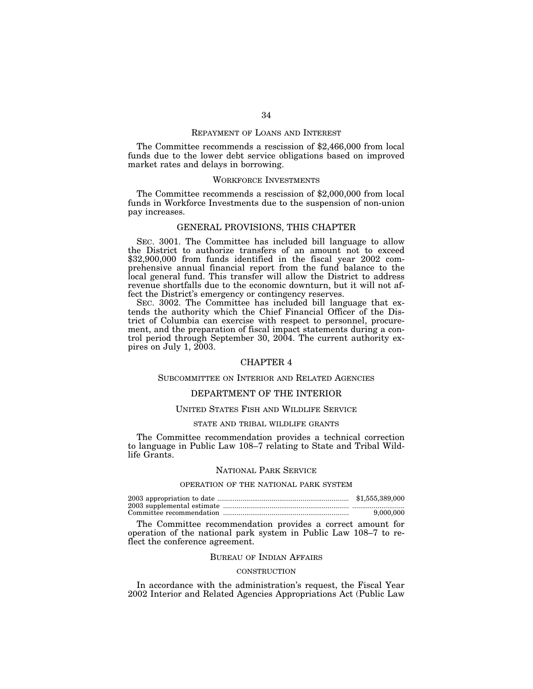# REPAYMENT OF LOANS AND INTEREST

The Committee recommends a rescission of \$2,466,000 from local funds due to the lower debt service obligations based on improved market rates and delays in borrowing.

#### WORKFORCE INVESTMENTS

The Committee recommends a rescission of \$2,000,000 from local funds in Workforce Investments due to the suspension of non-union pay increases.

#### GENERAL PROVISIONS, THIS CHAPTER

SEC. 3001. The Committee has included bill language to allow the District to authorize transfers of an amount not to exceed \$32,900,000 from funds identified in the fiscal year 2002 comprehensive annual financial report from the fund balance to the local general fund. This transfer will allow the District to address revenue shortfalls due to the economic downturn, but it will not affect the District's emergency or contingency reserves.

SEC. 3002. The Committee has included bill language that extends the authority which the Chief Financial Officer of the District of Columbia can exercise with respect to personnel, procurement, and the preparation of fiscal impact statements during a control period through September 30, 2004. The current authority expires on July 1, 2003.

## CHAPTER 4

## SUBCOMMITTEE ON INTERIOR AND RELATED AGENCIES

# DEPARTMENT OF THE INTERIOR

#### UNITED STATES FISH AND WILDLIFE SERVICE

#### STATE AND TRIBAL WILDLIFE GRANTS

The Committee recommendation provides a technical correction to language in Public Law 108–7 relating to State and Tribal Wildlife Grants.

#### NATIONAL PARK SERVICE

## OPERATION OF THE NATIONAL PARK SYSTEM

| \$1,555,389,000 |
|-----------------|
|                 |
| 9.000.000       |

The Committee recommendation provides a correct amount for operation of the national park system in Public Law 108–7 to reflect the conference agreement.

#### BUREAU OF INDIAN AFFAIRS

#### **CONSTRUCTION**

In accordance with the administration's request, the Fiscal Year 2002 Interior and Related Agencies Appropriations Act (Public Law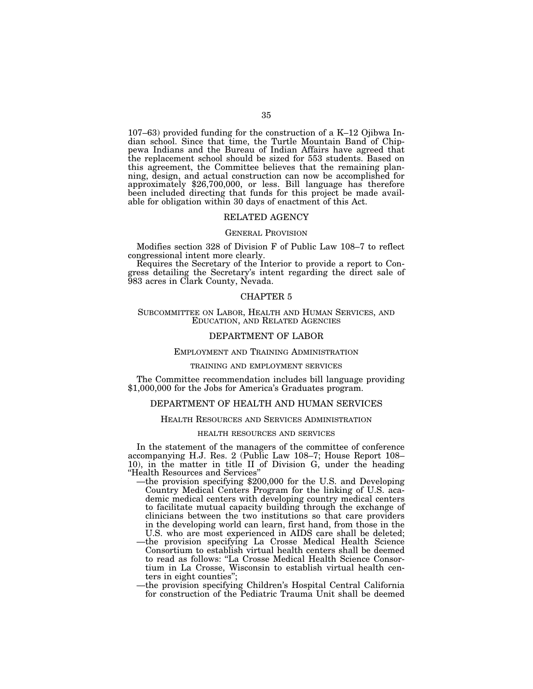107–63) provided funding for the construction of a K–12 Ojibwa Indian school. Since that time, the Turtle Mountain Band of Chippewa Indians and the Bureau of Indian Affairs have agreed that the replacement school should be sized for 553 students. Based on this agreement, the Committee believes that the remaining planning, design, and actual construction can now be accomplished for approximately \$26,700,000, or less. Bill language has therefore been included directing that funds for this project be made available for obligation within 30 days of enactment of this Act.

## RELATED AGENCY

#### GENERAL PROVISION

Modifies section 328 of Division F of Public Law 108–7 to reflect congressional intent more clearly.

Requires the Secretary of the Interior to provide a report to Congress detailing the Secretary's intent regarding the direct sale of 983 acres in Clark County, Nevada.

## CHAPTER 5

## SUBCOMMITTEE ON LABOR, HEALTH AND HUMAN SERVICES, AND EDUCATION, AND RELATED AGENCIES

# DEPARTMENT OF LABOR

## EMPLOYMENT AND TRAINING ADMINISTRATION

## TRAINING AND EMPLOYMENT SERVICES

The Committee recommendation includes bill language providing \$1,000,000 for the Jobs for America's Graduates program.

## DEPARTMENT OF HEALTH AND HUMAN SERVICES

#### HEALTH RESOURCES AND SERVICES ADMINISTRATION

#### HEALTH RESOURCES AND SERVICES

In the statement of the managers of the committee of conference accompanying H.J. Res. 2 (Public Law 108–7; House Report 108– 10), in the matter in title II of Division G, under the heading ''Health Resources and Services''

- —the provision specifying \$200,000 for the U.S. and Developing Country Medical Centers Program for the linking of U.S. academic medical centers with developing country medical centers to facilitate mutual capacity building through the exchange of clinicians between the two institutions so that care providers in the developing world can learn, first hand, from those in the U.S. who are most experienced in AIDS care shall be deleted;
- —the provision specifying La Crosse Medical Health Science Consortium to establish virtual health centers shall be deemed to read as follows: ''La Crosse Medical Health Science Consortium in La Crosse, Wisconsin to establish virtual health centers in eight counties'';
- —the provision specifying Children's Hospital Central California for construction of the Pediatric Trauma Unit shall be deemed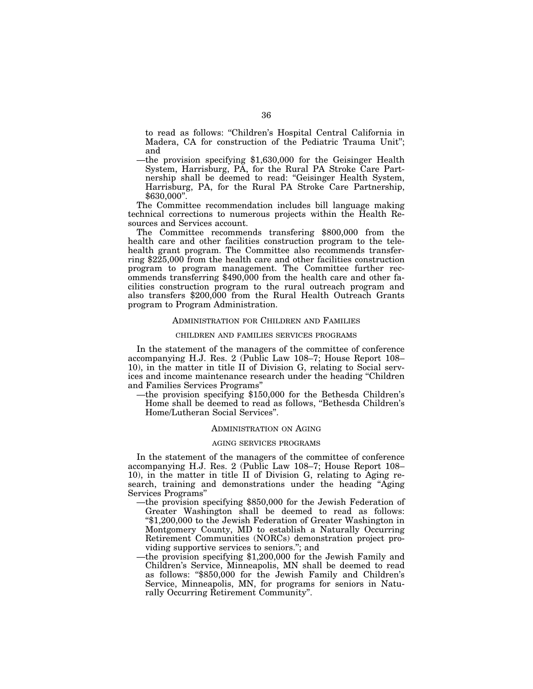to read as follows: ''Children's Hospital Central California in Madera, CA for construction of the Pediatric Trauma Unit''; and

—the provision specifying \$1,630,000 for the Geisinger Health System, Harrisburg, PA, for the Rural PA Stroke Care Partnership shall be deemed to read: ''Geisinger Health System, Harrisburg, PA, for the Rural PA Stroke Care Partnership, \$630,000''.

The Committee recommendation includes bill language making technical corrections to numerous projects within the Health Resources and Services account.

The Committee recommends transfering \$800,000 from the health care and other facilities construction program to the telehealth grant program. The Committee also recommends transferring \$225,000 from the health care and other facilities construction program to program management. The Committee further recommends transferring \$490,000 from the health care and other facilities construction program to the rural outreach program and also transfers \$200,000 from the Rural Health Outreach Grants program to Program Administration.

#### ADMINISTRATION FOR CHILDREN AND FAMILIES

## CHILDREN AND FAMILIES SERVICES PROGRAMS

In the statement of the managers of the committee of conference accompanying H.J. Res. 2 (Public Law 108–7; House Report 108– 10), in the matter in title II of Division G, relating to Social services and income maintenance research under the heading ''Children and Families Services Programs''

—the provision specifying \$150,000 for the Bethesda Children's Home shall be deemed to read as follows, ''Bethesda Children's Home/Lutheran Social Services''.

#### ADMINISTRATION ON AGING

#### AGING SERVICES PROGRAMS

In the statement of the managers of the committee of conference accompanying H.J. Res. 2 (Public Law 108–7; House Report 108– 10), in the matter in title II of Division G, relating to Aging research, training and demonstrations under the heading ''Aging Services Programs''

- —the provision specifying \$850,000 for the Jewish Federation of Greater Washington shall be deemed to read as follows: ''\$1,200,000 to the Jewish Federation of Greater Washington in Montgomery County, MD to establish a Naturally Occurring Retirement Communities (NORCs) demonstration project providing supportive services to seniors.''; and
- —the provision specifying \$1,200,000 for the Jewish Family and Children's Service, Minneapolis, MN shall be deemed to read as follows: ''\$850,000 for the Jewish Family and Children's Service, Minneapolis, MN, for programs for seniors in Naturally Occurring Retirement Community''.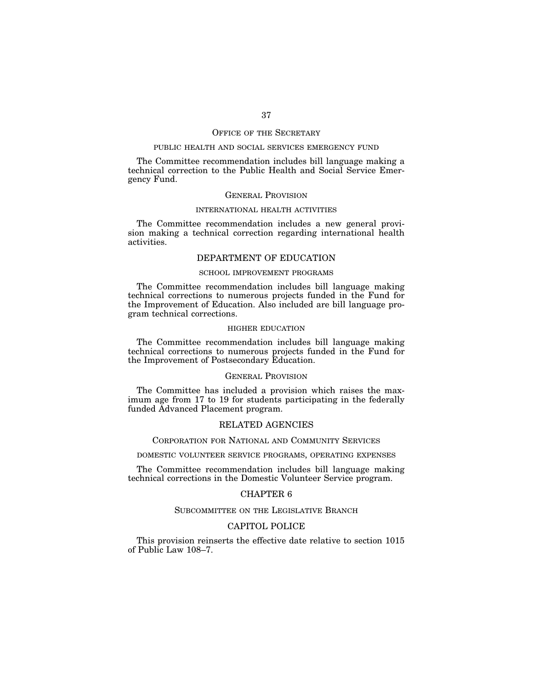#### OFFICE OF THE SECRETARY

## PUBLIC HEALTH AND SOCIAL SERVICES EMERGENCY FUND

The Committee recommendation includes bill language making a technical correction to the Public Health and Social Service Emergency Fund.

## GENERAL PROVISION

#### INTERNATIONAL HEALTH ACTIVITIES

The Committee recommendation includes a new general provision making a technical correction regarding international health activities.

# DEPARTMENT OF EDUCATION

## SCHOOL IMPROVEMENT PROGRAMS

The Committee recommendation includes bill language making technical corrections to numerous projects funded in the Fund for the Improvement of Education. Also included are bill language program technical corrections.

## HIGHER EDUCATION

The Committee recommendation includes bill language making technical corrections to numerous projects funded in the Fund for the Improvement of Postsecondary Education.

## GENERAL PROVISION

The Committee has included a provision which raises the maximum age from 17 to 19 for students participating in the federally funded Advanced Placement program.

#### RELATED AGENCIES

## CORPORATION FOR NATIONAL AND COMMUNITY SERVICES

# DOMESTIC VOLUNTEER SERVICE PROGRAMS, OPERATING EXPENSES

The Committee recommendation includes bill language making technical corrections in the Domestic Volunteer Service program.

## CHAPTER 6

## SUBCOMMITTEE ON THE LEGISLATIVE BRANCH

## CAPITOL POLICE

This provision reinserts the effective date relative to section 1015 of Public Law 108–7.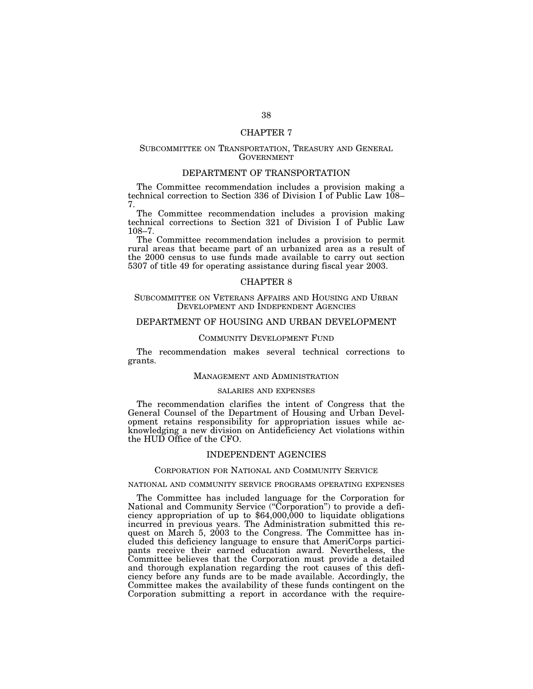### CHAPTER 7

## SUBCOMMITTEE ON TRANSPORTATION, TREASURY AND GENERAL **GOVERNMENT**

# DEPARTMENT OF TRANSPORTATION

The Committee recommendation includes a provision making a technical correction to Section 336 of Division I of Public Law  $108-$ 7.

The Committee recommendation includes a provision making technical corrections to Section 321 of Division I of Public Law 108–7.

The Committee recommendation includes a provision to permit rural areas that became part of an urbanized area as a result of the 2000 census to use funds made available to carry out section 5307 of title 49 for operating assistance during fiscal year 2003.

#### CHAPTER 8

#### SUBCOMMITTEE ON VETERANS AFFAIRS AND HOUSING AND URBAN DEVELOPMENT AND INDEPENDENT AGENCIES

# DEPARTMENT OF HOUSING AND URBAN DEVELOPMENT

## COMMUNITY DEVELOPMENT FUND

The recommendation makes several technical corrections to grants.

#### MANAGEMENT AND ADMINISTRATION

#### SALARIES AND EXPENSES

The recommendation clarifies the intent of Congress that the General Counsel of the Department of Housing and Urban Development retains responsibility for appropriation issues while acknowledging a new division on Antideficiency Act violations within the HUD Office of the CFO.

## INDEPENDENT AGENCIES

#### CORPORATION FOR NATIONAL AND COMMUNITY SERVICE

#### NATIONAL AND COMMUNITY SERVICE PROGRAMS OPERATING EXPENSES

The Committee has included language for the Corporation for National and Community Service ("Corporation") to provide a deficiency appropriation of up to \$64,000,000 to liquidate obligations incurred in previous years. The Administration submitted this request on March 5, 2003 to the Congress. The Committee has included this deficiency language to ensure that AmeriCorps participants receive their earned education award. Nevertheless, the Committee believes that the Corporation must provide a detailed and thorough explanation regarding the root causes of this deficiency before any funds are to be made available. Accordingly, the Committee makes the availability of these funds contingent on the Corporation submitting a report in accordance with the require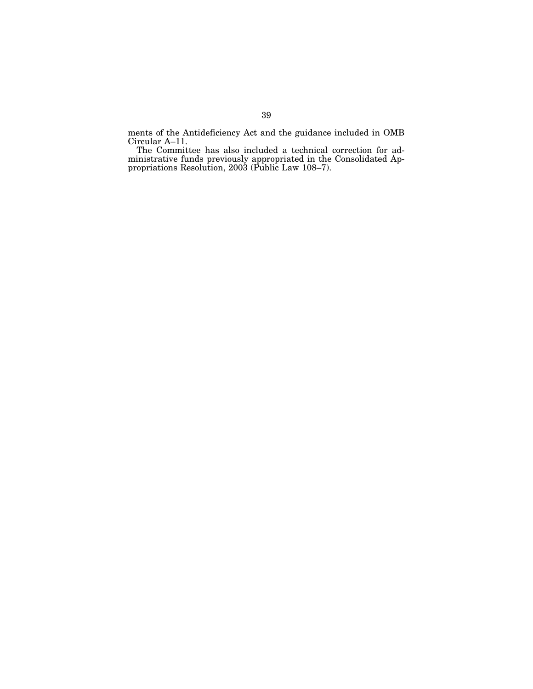ments of the Antideficiency Act and the guidance included in OMB Circular A–11.

The Committee has also included a technical correction for administrative funds previously appropriated in the Consolidated Appropriations Resolution, 2003 (Public Law 108–7).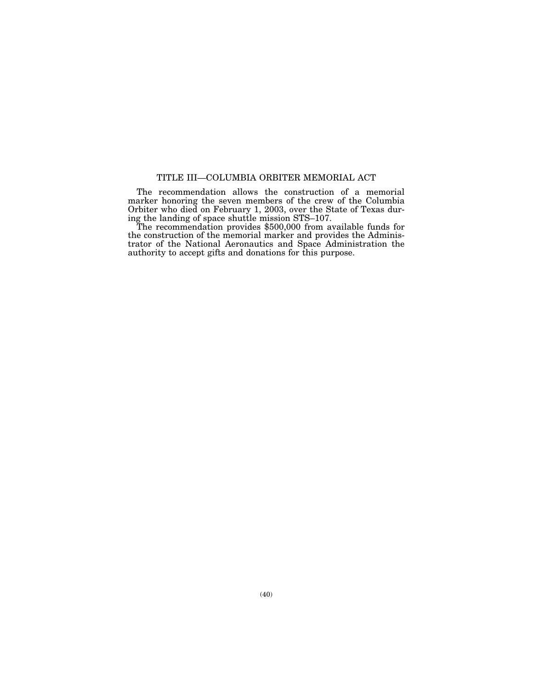# TITLE III—COLUMBIA ORBITER MEMORIAL ACT

The recommendation allows the construction of a memorial marker honoring the seven members of the crew of the Columbia Orbiter who died on February 1, 2003, over the State of Texas during the landing of space shuttle mission STS–107.

The recommendation provides \$500,000 from available funds for the construction of the memorial marker and provides the Administrator of the National Aeronautics and Space Administration the authority to accept gifts and donations for this purpose.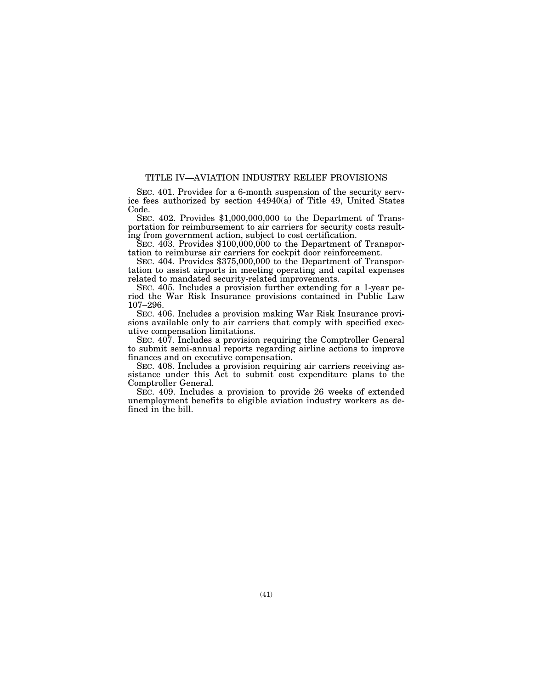# TITLE IV—AVIATION INDUSTRY RELIEF PROVISIONS

SEC. 401. Provides for a 6-month suspension of the security service fees authorized by section  $44940(a)$  of Title 49, United States Code.

SEC. 402. Provides \$1,000,000,000 to the Department of Transportation for reimbursement to air carriers for security costs resulting from government action, subject to cost certification.

SEC. 403. Provides \$100,000,000 to the Department of Transportation to reimburse air carriers for cockpit door reinforcement.

SEC. 404. Provides \$375,000,000 to the Department of Transportation to assist airports in meeting operating and capital expenses related to mandated security-related improvements.

SEC. 405. Includes a provision further extending for a 1-year period the War Risk Insurance provisions contained in Public Law 107–296.

SEC. 406. Includes a provision making War Risk Insurance provisions available only to air carriers that comply with specified executive compensation limitations.

SEC. 407. Includes a provision requiring the Comptroller General to submit semi-annual reports regarding airline actions to improve finances and on executive compensation.

SEC. 408. Includes a provision requiring air carriers receiving assistance under this Act to submit cost expenditure plans to the Comptroller General.

SEC. 409. Includes a provision to provide 26 weeks of extended unemployment benefits to eligible aviation industry workers as defined in the bill.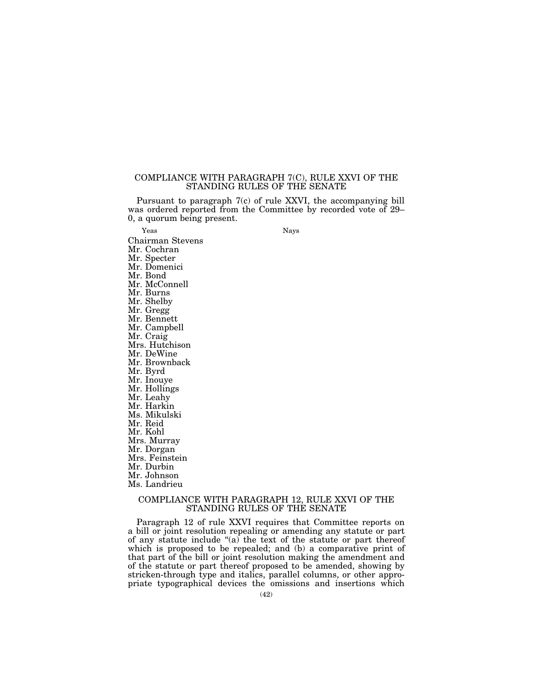# COMPLIANCE WITH PARAGRAPH 7(C), RULE XXVI OF THE STANDING RULES OF THE SENATE

Pursuant to paragraph 7(c) of rule XXVI, the accompanying bill was ordered reported from the Committee by recorded vote of 29– 0, a quorum being present.

Yeas Nays

Chairman Stevens Mr. Cochran Mr. Specter Mr. Domenici

Mr. Bond

Mr. McConnell

Mr. Burns

Mr. Shelby Mr. Gregg

Mr. Bennett

Mr. Campbell

Mr. Craig

Mrs. Hutchison

Mr. DeWine

Mr. Brownback

Mr. Byrd

Mr. Inouye

Mr. Hollings

Mr. Leahy

Mr. Harkin

Ms. Mikulski

Mr. Reid

Mr. Kohl

Mrs. Murray

Mr. Dorgan

Mrs. Feinstein Mr. Durbin

Mr. Johnson

Ms. Landrieu

COMPLIANCE WITH PARAGRAPH 12, RULE XXVI OF THE STANDING RULES OF THE SENATE

Paragraph 12 of rule XXVI requires that Committee reports on a bill or joint resolution repealing or amending any statute or part of any statute include " $(a)$  the text of the statute or part thereof which is proposed to be repealed; and (b) a comparative print of that part of the bill or joint resolution making the amendment and of the statute or part thereof proposed to be amended, showing by stricken-through type and italics, parallel columns, or other appropriate typographical devices the omissions and insertions which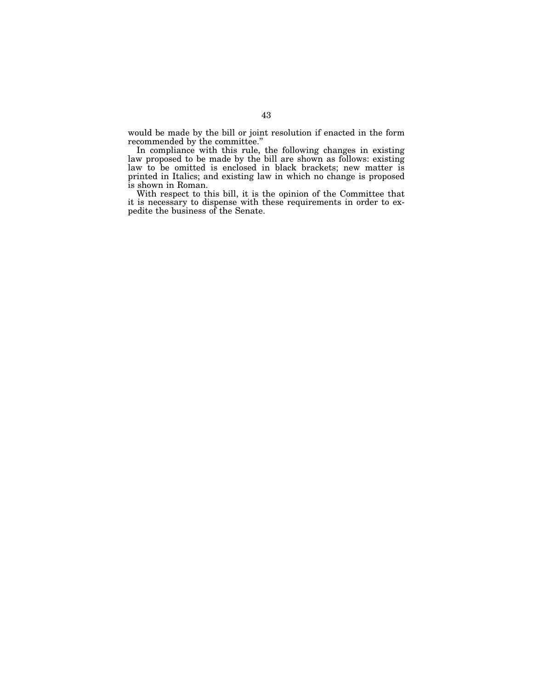would be made by the bill or joint resolution if enacted in the form recommended by the committee.''

In compliance with this rule, the following changes in existing law proposed to be made by the bill are shown as follows: existing law to be omitted is enclosed in black brackets; new matter is printed in Italics; and existing law in which no change is proposed is shown in Roman.

With respect to this bill, it is the opinion of the Committee that it is necessary to dispense with these requirements in order to expedite the business of the Senate.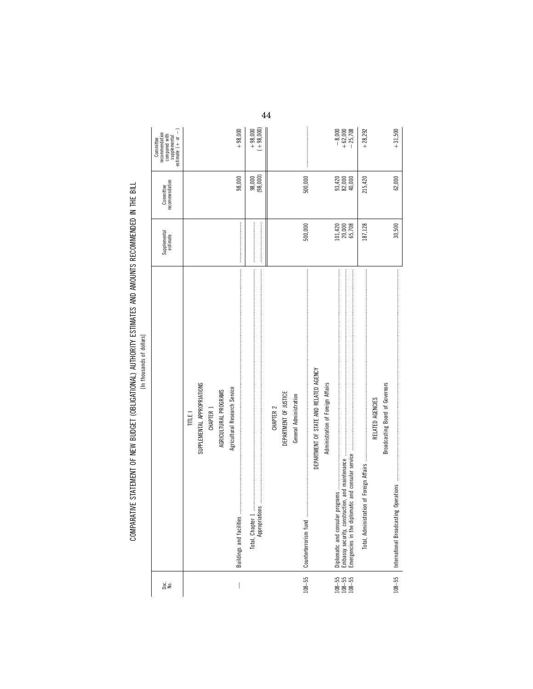| СОМВАВАТИЕ СТАТЕМЕМТ ОЕ МЕМ ВНОСЕТ (ОВНОЛЖАНОМА) АНТИОВИТУ ЕСТИМАТСЯ АМО АМАЛИЛТО ВЕСОМАМЕМОЕ О МЕТНЕ ВНЕ<br> <br> <br> <br>ווו או עם האווירטייני באווירטייני האווירטייני באווירטייני או אווירטייני או אווירטייני אווירטייני אווירטייני או |  |
|--------------------------------------------------------------------------------------------------------------------------------------------------------------------------------------------------------------------------------------------|--|
|                                                                                                                                                                                                                                            |  |
|                                                                                                                                                                                                                                            |  |
|                                                                                                                                                                                                                                            |  |
|                                                                                                                                                                                                                                            |  |
|                                                                                                                                                                                                                                            |  |
|                                                                                                                                                                                                                                            |  |
| יינט לווי ובאמר המטבח ומות המטבח ומה המטבח אות המטבח המטבח המטבח המטבח המטבח המטבח המטבח המטבח המטבח המטבח המט                                                                                                                             |  |
| : WILL                                                                                                                                                                                                                                     |  |

| ge<br>S                                                         |                                                                                                                                                                                                                                                                                                                                                                                                                                                                                                                                                                                                                                                              | Supplemental<br>estimate    | recommendation<br>Committee | estimate $(+ or -)$<br>recommendation<br>compared with<br>supplemental<br>Committee |
|-----------------------------------------------------------------|--------------------------------------------------------------------------------------------------------------------------------------------------------------------------------------------------------------------------------------------------------------------------------------------------------------------------------------------------------------------------------------------------------------------------------------------------------------------------------------------------------------------------------------------------------------------------------------------------------------------------------------------------------------|-----------------------------|-----------------------------|-------------------------------------------------------------------------------------|
|                                                                 | TITLE I                                                                                                                                                                                                                                                                                                                                                                                                                                                                                                                                                                                                                                                      |                             |                             |                                                                                     |
|                                                                 | SUPPLEMENTAL APPROPRIATIONS                                                                                                                                                                                                                                                                                                                                                                                                                                                                                                                                                                                                                                  |                             |                             |                                                                                     |
|                                                                 | CHAPTER 1                                                                                                                                                                                                                                                                                                                                                                                                                                                                                                                                                                                                                                                    |                             |                             |                                                                                     |
|                                                                 | AGRICULTURAL PROGRAMS                                                                                                                                                                                                                                                                                                                                                                                                                                                                                                                                                                                                                                        |                             |                             |                                                                                     |
|                                                                 | Agricultural Research Service                                                                                                                                                                                                                                                                                                                                                                                                                                                                                                                                                                                                                                |                             |                             |                                                                                     |
|                                                                 | <b>Buildings and facilities</b>                                                                                                                                                                                                                                                                                                                                                                                                                                                                                                                                                                                                                              |                             | 98,000                      | $+98,000$                                                                           |
|                                                                 | $\label{def:1} \begin{minipage}{0.9\textwidth} \begin{minipage}{0.9\textwidth} \begin{itemize} \textbf{0.9\textwidth} \begin{itemize} \textbf{0.9\textwidth} \begin{itemize} \textbf{0.9\textwidth} \begin{itemize} \textbf{0.9\textwidth} \begin{itemize} \textbf{0.9\textwidth} \begin{itemize} \textbf{0.9\textwidth} \begin{itemize} \textbf{0.9\textwidth} \begin{itemize} \textbf{0.9\textwidth} \begin{itemize} \textbf{0.9\textwidth} \begin{itemize} \textbf{0.9\textwidth} \begin{itemize} \textbf{0.9\text$<br>Арроріа́вов — политични политични политични политични политични политични политични политични политични полити<br>Total, Chapter 1 |                             | 98,000<br>(98,000)          | $+98,000$<br>$(+98,000)$                                                            |
|                                                                 |                                                                                                                                                                                                                                                                                                                                                                                                                                                                                                                                                                                                                                                              |                             |                             |                                                                                     |
|                                                                 | CHAPTER 2                                                                                                                                                                                                                                                                                                                                                                                                                                                                                                                                                                                                                                                    |                             |                             |                                                                                     |
|                                                                 | DEPARTMENT OF JUSTICE                                                                                                                                                                                                                                                                                                                                                                                                                                                                                                                                                                                                                                        |                             |                             |                                                                                     |
|                                                                 | General Administration                                                                                                                                                                                                                                                                                                                                                                                                                                                                                                                                                                                                                                       |                             |                             |                                                                                     |
| $108 - 55$                                                      | Counterprise and the communication of the communication of the contract of the contract of the contract of the contract of the contract of the contract of the contract of the contract of the contract of the contract of the                                                                                                                                                                                                                                                                                                                                                                                                                               | 500,000                     | 500,000                     |                                                                                     |
|                                                                 | DEPARTMENT OF STATE AND RELATED AGENCY                                                                                                                                                                                                                                                                                                                                                                                                                                                                                                                                                                                                                       |                             |                             |                                                                                     |
|                                                                 | Administration of Foreign Affairs                                                                                                                                                                                                                                                                                                                                                                                                                                                                                                                                                                                                                            |                             |                             |                                                                                     |
|                                                                 |                                                                                                                                                                                                                                                                                                                                                                                                                                                                                                                                                                                                                                                              |                             |                             |                                                                                     |
| $\begin{array}{c} 108 - 55 \\ 108 - 55 \\ 108 - 55 \end{array}$ |                                                                                                                                                                                                                                                                                                                                                                                                                                                                                                                                                                                                                                                              |                             | 93,420<br>82,000<br>40,000  |                                                                                     |
|                                                                 |                                                                                                                                                                                                                                                                                                                                                                                                                                                                                                                                                                                                                                                              | 101,420<br>20,000<br>65,708 |                             | $-8,000$<br>$+62,000$<br>$+25,708$                                                  |
|                                                                 |                                                                                                                                                                                                                                                                                                                                                                                                                                                                                                                                                                                                                                                              | 187,128                     | 215,420                     | $+28,292$                                                                           |
|                                                                 | RELATED AGENCIES                                                                                                                                                                                                                                                                                                                                                                                                                                                                                                                                                                                                                                             |                             |                             |                                                                                     |
|                                                                 | Broadcasting Board of Governors                                                                                                                                                                                                                                                                                                                                                                                                                                                                                                                                                                                                                              |                             |                             |                                                                                     |
| $108 - 55$                                                      |                                                                                                                                                                                                                                                                                                                                                                                                                                                                                                                                                                                                                                                              | 30,500                      | 62,000                      | $+31,500$                                                                           |
|                                                                 |                                                                                                                                                                                                                                                                                                                                                                                                                                                                                                                                                                                                                                                              |                             |                             |                                                                                     |

44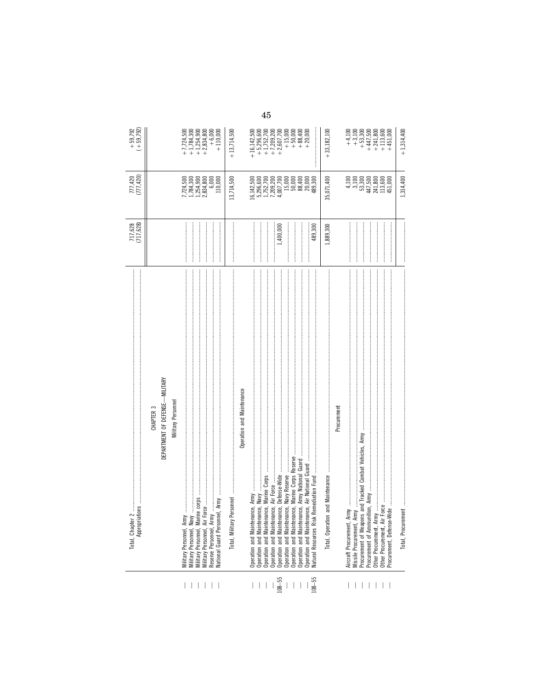|              | ļ<br>ions<br>Total, Chapter 2<br>Appropriatic                                                                                                                                                                                                                                                                                                                                                                                                                                                                                                                                                                                                                                                         | 717,628<br>(717,628) | 777,420<br>(777,420)                                                                          | $+ 59,792$<br>$(+ 59,792)$                                                                                                                              |
|--------------|-------------------------------------------------------------------------------------------------------------------------------------------------------------------------------------------------------------------------------------------------------------------------------------------------------------------------------------------------------------------------------------------------------------------------------------------------------------------------------------------------------------------------------------------------------------------------------------------------------------------------------------------------------------------------------------------------------|----------------------|-----------------------------------------------------------------------------------------------|---------------------------------------------------------------------------------------------------------------------------------------------------------|
|              | CHAPTER <sub>3</sub>                                                                                                                                                                                                                                                                                                                                                                                                                                                                                                                                                                                                                                                                                  |                      |                                                                                               |                                                                                                                                                         |
|              | DEPARTMENT OF DEFENSE-MILITARY                                                                                                                                                                                                                                                                                                                                                                                                                                                                                                                                                                                                                                                                        |                      |                                                                                               |                                                                                                                                                         |
|              | <b>Military Personnel</b>                                                                                                                                                                                                                                                                                                                                                                                                                                                                                                                                                                                                                                                                             |                      |                                                                                               |                                                                                                                                                         |
|              | Military Personnel, Army                                                                                                                                                                                                                                                                                                                                                                                                                                                                                                                                                                                                                                                                              |                      |                                                                                               | $+7,724,500$                                                                                                                                            |
|              | Military Personnel, Navy                                                                                                                                                                                                                                                                                                                                                                                                                                                                                                                                                                                                                                                                              |                      | 7,724,500<br>1,784,300<br>1,254,800<br>2,834,800                                              | $\begin{array}{r} +1,784,300 \\ +1,254,900 \\ +2,834,800 \end{array}$                                                                                   |
|              | $100$ , поставленно поставленно поставление поставленно поставление поставление поставление поставление и составляет поставление и составляет поставление и составляет составляет составляет на составляет составляет составл<br>Military Personnel, Air Fo                                                                                                                                                                                                                                                                                                                                                                                                                                           |                      |                                                                                               |                                                                                                                                                         |
|              | al, Army<br>Reserve Personnel, Army<br>Vational Guard Personne                                                                                                                                                                                                                                                                                                                                                                                                                                                                                                                                                                                                                                        |                      | 6,000<br>110,000                                                                              | $+6,000$<br>+ 110,000                                                                                                                                   |
|              |                                                                                                                                                                                                                                                                                                                                                                                                                                                                                                                                                                                                                                                                                                       |                      | 13,714,500                                                                                    | $+13,714,500$                                                                                                                                           |
|              | Operation and Maintenance                                                                                                                                                                                                                                                                                                                                                                                                                                                                                                                                                                                                                                                                             |                      |                                                                                               |                                                                                                                                                         |
|              | Operation and Maintenance,                                                                                                                                                                                                                                                                                                                                                                                                                                                                                                                                                                                                                                                                            |                      | 6,142,500                                                                                     |                                                                                                                                                         |
| $\perp$      |                                                                                                                                                                                                                                                                                                                                                                                                                                                                                                                                                                                                                                                                                                       |                      | 5,296,600<br>1,752,700                                                                        | $\begin{array}{r} +16,142,500 \\ +5,296,600 \\ +1,752,700 \end{array}$                                                                                  |
|              |                                                                                                                                                                                                                                                                                                                                                                                                                                                                                                                                                                                                                                                                                                       |                      |                                                                                               |                                                                                                                                                         |
|              | Operation and Maintenance, Air Force                                                                                                                                                                                                                                                                                                                                                                                                                                                                                                                                                                                                                                                                  |                      | 7,209,200<br>4,007,700                                                                        |                                                                                                                                                         |
| $108 - 55$   |                                                                                                                                                                                                                                                                                                                                                                                                                                                                                                                                                                                                                                                                                                       | 1,400,000            |                                                                                               |                                                                                                                                                         |
|              | Operation and Maintenance, Marine Corps Reserve<br>Operation and Maintenance, Navy Reserve                                                                                                                                                                                                                                                                                                                                                                                                                                                                                                                                                                                                            |                      | $\begin{array}{c} 15,000 \\ 50,000 \\ 88,400 \end{array}$                                     | $+7,209,200$<br>+2,607,700<br>+ 15,000<br>+ 50,000<br>+ 88,400                                                                                          |
|              | Operation and Maintenance, Army National Guard                                                                                                                                                                                                                                                                                                                                                                                                                                                                                                                                                                                                                                                        |                      |                                                                                               |                                                                                                                                                         |
|              | Operation and Maintena                                                                                                                                                                                                                                                                                                                                                                                                                                                                                                                                                                                                                                                                                |                      | 20,000                                                                                        | $+20,000$                                                                                                                                               |
| $-55$        | Vatural Resources Risk                                                                                                                                                                                                                                                                                                                                                                                                                                                                                                                                                                                                                                                                                | 489,300              | 489,300                                                                                       |                                                                                                                                                         |
|              | and Maintenance<br>Total, Operation                                                                                                                                                                                                                                                                                                                                                                                                                                                                                                                                                                                                                                                                   | 1,889,300            | 35,071,400                                                                                    | $+33,182,100$                                                                                                                                           |
|              | Procuremen                                                                                                                                                                                                                                                                                                                                                                                                                                                                                                                                                                                                                                                                                            |                      |                                                                                               |                                                                                                                                                         |
|              |                                                                                                                                                                                                                                                                                                                                                                                                                                                                                                                                                                                                                                                                                                       |                      | 4,100                                                                                         |                                                                                                                                                         |
|              | and Tracked Combat Vehicles, Army<br>Missile Procurement, Arn<br>Procurement of Weapons                                                                                                                                                                                                                                                                                                                                                                                                                                                                                                                                                                                                               |                      |                                                                                               |                                                                                                                                                         |
|              | ion, Army<br>Procurement of Ammunit                                                                                                                                                                                                                                                                                                                                                                                                                                                                                                                                                                                                                                                                   |                      |                                                                                               |                                                                                                                                                         |
|              | Other Procurement, Army                                                                                                                                                                                                                                                                                                                                                                                                                                                                                                                                                                                                                                                                               |                      |                                                                                               |                                                                                                                                                         |
| $\mathbb{R}$ | $\label{thm:2} \text{id} \mathbf{e} \text{ nonnoncommutative commutative norm} \text{ is a noncommutative norm} \text{ and a noncommutative norm} \text{ is a noncommutative norm} \text{ and a noncommutative norm} \text{ is a noncommutative norm} \text{ and a noncommutative norm} \text{ is a noncommutative norm} \text{ and a noncommutative norm} \text{ is a noncommutative norm} \text{ and a noncommutative norm} \text{ is a noncommutative norm} \text{ and a noncommutative norm} \text{ is a noncommutative norm} \text{ and a noncommutative norm} \text{ is a noncommutative norm} \text{ and a noncommutative norm} \text{ is a noncommutative norm} \$<br>Procurement, Defense-Wi |                      | $\begin{array}{c} 3,100 \\ 53,300 \\ 447,500 \\ 241,800 \\ 113,600 \\ 113,600 \\ \end{array}$ | $\begin{array}{l} +\,4,100\\ +\,9,3,00\\ +\,4,1,500\\ +\,4,4,7,800\\ +\,4,4,1,3,600\\ +\,4,1,13,600\\ +\,4,1,13,4\\ +\,4,1,1,4\\ +\,4,1,1,4\end{array}$ |
|              | Total, Procurem                                                                                                                                                                                                                                                                                                                                                                                                                                                                                                                                                                                                                                                                                       |                      | 1,314,400                                                                                     | $+1,314,400$                                                                                                                                            |

 $45\,$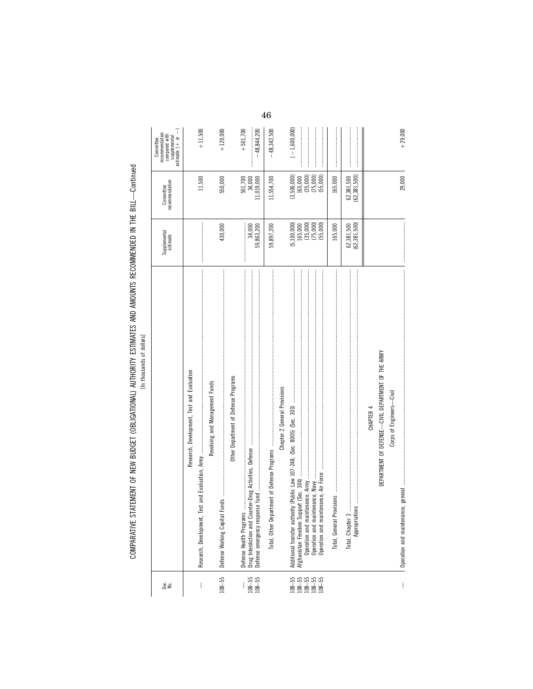| science blocking inline le bielselbsbe ly<br>ン・Instalar | יי במושל היה היה משפח היה אי<br>AIN AITED CONTRACTES AND AND ANGELES OF CONTRACTES IN THE CHIL<br>ì |  |
|---------------------------------------------------------|-----------------------------------------------------------------------------------------------------|--|
|                                                         | $\ddot{\cdot}$                                                                                      |  |
|                                                         | $\vdots$                                                                                            |  |
|                                                         | <b>OMDADATIV</b>                                                                                    |  |

| gie<br>≧                                   |                                                                                                                                                                       | Supplemental<br>estimate                        | recommendation<br>Committee        | estimate $( + or - )$<br>ecommendation<br>compared with<br>supplemental<br>Committee |
|--------------------------------------------|-----------------------------------------------------------------------------------------------------------------------------------------------------------------------|-------------------------------------------------|------------------------------------|--------------------------------------------------------------------------------------|
|                                            | Research, Development, Test and Evaluation<br>Research, Development,                                                                                                  |                                                 | 11,500                             | $+11,500$                                                                            |
| $108 - 55$                                 | Revolving and Management Funds<br>Defense Working Capital                                                                                                             | 430,000                                         | 550,000                            | $+120,000$                                                                           |
| $108 - 55$<br>$108 - 55$                   | Other Department of Defense Programs<br>Defense Health Programs                                                                                                       | 34,000<br>59,863,200                            | 501,700<br>34,000<br>11,019,000    | $+501,700$<br>$-48,844,200$                                                          |
|                                            | Total, Other Depa                                                                                                                                                     | 59,897,200                                      | 11,554,700                         | $-48,342,500$                                                                        |
|                                            | Chapter 2 General Provisions                                                                                                                                          | (5, 100, 000)                                   | (3,500,000)                        | $(-1,600,000)$                                                                       |
| 55<br>55 55 56<br>108 56 56<br>108 108 109 |                                                                                                                                                                       | $(35,000)$<br>$(75,000)$<br>(55,000)<br>165,000 | $[165,000(35,000)(75,000)(55,000)$ |                                                                                      |
|                                            |                                                                                                                                                                       | 165,000                                         | 165,000                            |                                                                                      |
|                                            | $008$ . The communication construction of the construction of the construction of the construction of the construction of $008$<br>Total, Chapter 3.<br>Appropriation | (62, 381, 500)<br>62,381,500                    | (62, 381, 500)<br>62,381,500       |                                                                                      |
|                                            | DEPARTMENT OF DEFENSE—CIVIL DEPARTMENT OF THE ARMY<br>CHAPTER 4                                                                                                       |                                                 |                                    |                                                                                      |
|                                            | Corps of Engineers-Civil                                                                                                                                              |                                                 | 29,000                             | $+29,000$                                                                            |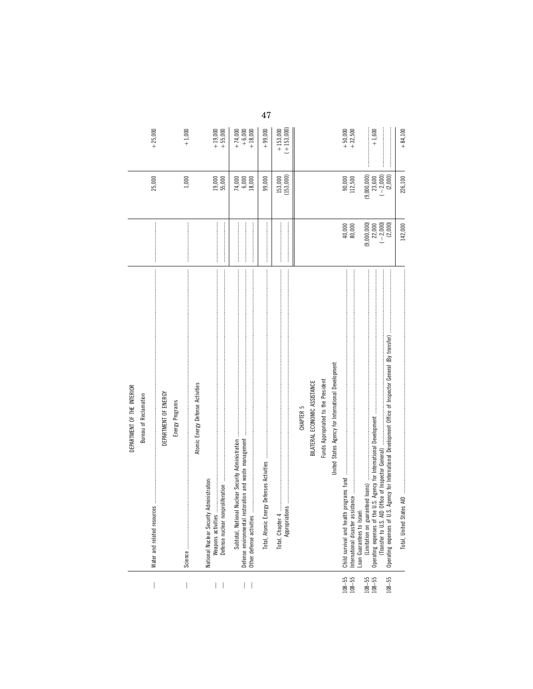|                               | DEPARTMENT OF THE INTERIOR                                                            |                                     |                                 |                                    |
|-------------------------------|---------------------------------------------------------------------------------------|-------------------------------------|---------------------------------|------------------------------------|
|                               | <b>Bureau of Reclamation</b>                                                          |                                     |                                 |                                    |
|                               | DEPARTMENT OF ENERGY<br>Water and related resources                                   |                                     | 25,000                          | $+25,000$                          |
| $\overline{\phantom{a}}$      | Energy Programs                                                                       |                                     | 1,000                           | $+1,000$                           |
|                               | Atomic Energy Defense Activities                                                      |                                     |                                 |                                    |
|                               | National Nuclear Security Administration:                                             |                                     |                                 |                                    |
| I<br>$\overline{\phantom{a}}$ |                                                                                       |                                     | 19,000<br>55,000                | $+19,000$<br>+55,000               |
|                               |                                                                                       |                                     |                                 |                                    |
| L                             | restoration and waste management<br>Other defense activities<br>Defense environmental |                                     | $74,000$<br>$6,000$<br>$18,000$ | $+74,000$<br>$+6,000$<br>$+18,000$ |
|                               | Total, Atomic Energy Defenses Activities                                              |                                     | 99,000                          | $+99,000$                          |
|                               | Total, Chapter                                                                        |                                     | (153,000)<br>153,000            | $(+153,000)$<br>$+153,000$         |
|                               | CHAPTER <sub>5</sub>                                                                  |                                     |                                 |                                    |
|                               | BILATERAL ECONOMIC ASSISTANCE                                                         |                                     |                                 |                                    |
|                               | Funds Appropriated to the President                                                   |                                     |                                 |                                    |
|                               | United States Agency for International Development                                    |                                     |                                 |                                    |
| $108 - 55$<br>$108 - 55$      | Child survival and health programs fund                                               | 40,000<br>80,000                    | $90,000$<br>112,500             | $+ 50,000$<br>$+ 32,500$           |
|                               | Loan Guarantees to Israel:                                                            |                                     |                                 |                                    |
| $108 - 55$<br>$108 - 55$      |                                                                                       | (9,000,000)                         | (9,000,000)<br>23,600           | $+1,600$                           |
|                               |                                                                                       | $22,000$<br>$(-2,000)$<br>$(2,000)$ | $(-2,000)$                      |                                    |
| $-8 - 55$                     | Operating expenses of                                                                 |                                     | (2,000)                         |                                    |
|                               |                                                                                       | 142,000                             | 226,100                         | $+84,100$                          |

 $\bf 47$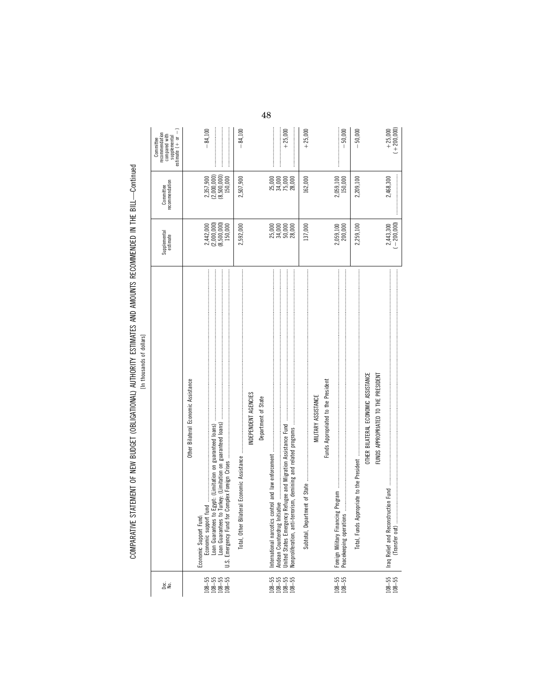COMPARATIVE STATEMENT OF NEW BUDGET (OBLIGATIONAL) AUTHORITY ESTIMATES AND AMOUNTS RECOMMENDED IN THE BILL--Continued<br>In thousands of dialism COMPARATIVE STATEMENT OF NEW BUDGET (OBLIGATIONAL) AUTHORITY ESTIMATES AND AMOUNTS RECOMMENDED IN THE BILL—Continued

[In thousands of dollars]

| ge<br>S                                                                                                                                                                                                                                                                                                                                                                                                        |                                                                                                                                                                 | Supplemental<br>estimate                             | recommendation<br>Committee          | estimate $(+)$ or $-)$<br>recommendation<br>compared with<br>supplemental<br>Committee |
|----------------------------------------------------------------------------------------------------------------------------------------------------------------------------------------------------------------------------------------------------------------------------------------------------------------------------------------------------------------------------------------------------------------|-----------------------------------------------------------------------------------------------------------------------------------------------------------------|------------------------------------------------------|--------------------------------------|----------------------------------------------------------------------------------------|
|                                                                                                                                                                                                                                                                                                                                                                                                                | Other Bilateral Economic Assistance                                                                                                                             |                                                      |                                      |                                                                                        |
|                                                                                                                                                                                                                                                                                                                                                                                                                | Economic support fund<br>Economic Support Fund:                                                                                                                 |                                                      | 2,357,900                            | $-84,100$                                                                              |
|                                                                                                                                                                                                                                                                                                                                                                                                                | Egypt: (Limitation on guaranteed loans)<br>Loan Guarantees to<br>Loan Guarantees to                                                                             |                                                      | $(2,000,000)$<br>$(8,500,000)$       |                                                                                        |
| $\begin{array}{@{}c@{\hspace{1em}}c@{\hspace{1em}}c@{\hspace{1em}}c@{\hspace{1em}}c@{\hspace{1em}}c@{\hspace{1em}}c@{\hspace{1em}}c@{\hspace{1em}}c@{\hspace{1em}}c@{\hspace{1em}}c@{\hspace{1em}}c@{\hspace{1em}}c@{\hspace{1em}}c@{\hspace{1em}}c@{\hspace{1em}}c@{\hspace{1em}}c@{\hspace{1em}}c@{\hspace{1em}}c@{\hspace{1em}}c@{\hspace{1em}}c@{\hspace{1em}}c@{\hspace{1em}}c@{\hspace{1em}}c@{\hspace{$ | Turkey: (Limitation on guaranteed loans)<br>Emergency Fund for<br>ین<br>نا                                                                                      | $2,442,000$<br>(2,000,000)<br>(8,500,000)<br>150,000 | 150,000                              |                                                                                        |
|                                                                                                                                                                                                                                                                                                                                                                                                                |                                                                                                                                                                 | 2,592,000                                            | 2,507,900                            | 84,100                                                                                 |
|                                                                                                                                                                                                                                                                                                                                                                                                                | INDEPENDENT AGENCIES                                                                                                                                            |                                                      |                                      |                                                                                        |
|                                                                                                                                                                                                                                                                                                                                                                                                                | Department of State                                                                                                                                             |                                                      |                                      |                                                                                        |
|                                                                                                                                                                                                                                                                                                                                                                                                                |                                                                                                                                                                 |                                                      |                                      |                                                                                        |
|                                                                                                                                                                                                                                                                                                                                                                                                                |                                                                                                                                                                 |                                                      |                                      |                                                                                        |
| 55<br>18-55<br>18-55<br>18-55                                                                                                                                                                                                                                                                                                                                                                                  | Refugee and Migration Assistance Fund manuation and continuum continuum continuum continuum continuum<br>United States Emergency<br>Nonproliferation, anti-terr |                                                      | 25,000<br>34,000<br>75,000<br>28,000 | $+25,000$                                                                              |
|                                                                                                                                                                                                                                                                                                                                                                                                                |                                                                                                                                                                 | 137,000                                              | 162,000                              | $+25,000$                                                                              |
|                                                                                                                                                                                                                                                                                                                                                                                                                | MILITARY ASSISTANCE                                                                                                                                             |                                                      |                                      |                                                                                        |
|                                                                                                                                                                                                                                                                                                                                                                                                                | Funds Appropriated to the President                                                                                                                             |                                                      |                                      |                                                                                        |
| $108 - 55$<br>$108 - 55$                                                                                                                                                                                                                                                                                                                                                                                       |                                                                                                                                                                 | 2,059,100<br>200,000                                 | $2,059,100$<br>$150,000$             |                                                                                        |
|                                                                                                                                                                                                                                                                                                                                                                                                                | Peacekeeping operations                                                                                                                                         |                                                      |                                      | $-50,000$                                                                              |
|                                                                                                                                                                                                                                                                                                                                                                                                                | Total, Funds App                                                                                                                                                | 2,259,100                                            | 2,209,100                            | $-50,000$                                                                              |
|                                                                                                                                                                                                                                                                                                                                                                                                                | OTHER BILATERAL ECONOMIC ASSISTANCE                                                                                                                             |                                                      |                                      |                                                                                        |
|                                                                                                                                                                                                                                                                                                                                                                                                                | FUNDS APPROPRIATED TO THE PRESIDENT                                                                                                                             |                                                      |                                      |                                                                                        |
|                                                                                                                                                                                                                                                                                                                                                                                                                | Iraq Relief and Reconstr                                                                                                                                        | 2,443,300                                            | 2,468,300                            | $+25,000$                                                                              |
| $108 - 55$<br>$108 - 55$                                                                                                                                                                                                                                                                                                                                                                                       | (Transfer out)                                                                                                                                                  | $(-200,000)$                                         |                                      | $(+200,000)$                                                                           |

48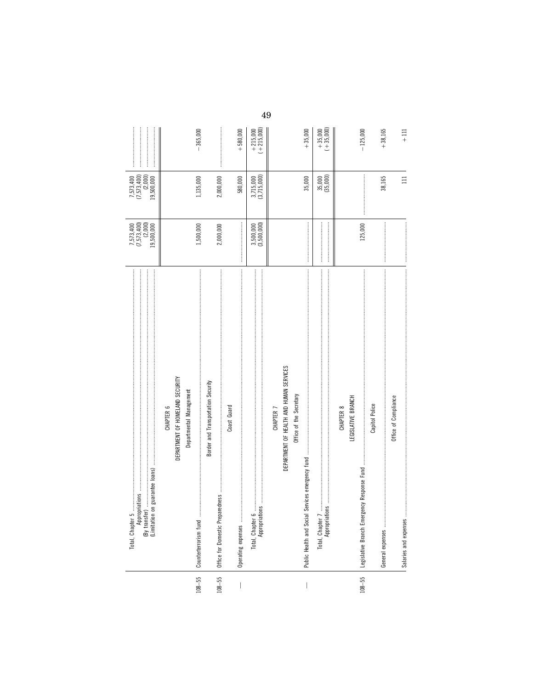| 7,573,400<br>(7,573,400)<br>(2,000)<br>3,715,000<br>(3,715,000)<br>$35,000$<br>$(35,000)$<br>35,000<br>38,165<br>1,135,000<br>2,000,000<br>580,000<br>19,500,000<br>7,573,400<br>(7,573,400)<br>(2,000)<br>125,000<br>(3,500,000)<br>1,500,000<br>2,000,000<br>19,500,000<br>3,500,000<br>DEPARTMENT OF HEALTH AND HUMAN SERVICES<br>DEPARTMENT OF HOMELAND SECURITY<br>Border and Transportation Security<br>Departmental Management<br>Office of the Secretary<br>LEGISLATIVE BRANCH<br>Office of Compliance<br>Capitol Police<br>Coast Guard<br>CHAPTER <sub>6</sub><br>CHAPTER 8<br>CHAPTER 7<br>Legislative Branch Emergency Response Fund<br>(Limitation on guarantee loans)<br>Office for Domestic Preparedness<br>Total, Chapter 5<br>Appropriation<br>Counterterrorism fund<br>Total, Chapter 6<br>Appropriations<br>$108 - 55$<br>$108 - 55$<br>$108 - 55$<br>$\mid$<br>$\bigg $ |  | $-365,000$ |  | $+580,000$ | $+215,000$<br>$(+215,000)$ | 49 |  | $+35,000$ | $+35,000$<br>$(+35,000)$ |  | $-125,000$ | $+38,165$ | $+111$ |
|--------------------------------------------------------------------------------------------------------------------------------------------------------------------------------------------------------------------------------------------------------------------------------------------------------------------------------------------------------------------------------------------------------------------------------------------------------------------------------------------------------------------------------------------------------------------------------------------------------------------------------------------------------------------------------------------------------------------------------------------------------------------------------------------------------------------------------------------------------------------------------------------|--|------------|--|------------|----------------------------|----|--|-----------|--------------------------|--|------------|-----------|--------|
|                                                                                                                                                                                                                                                                                                                                                                                                                                                                                                                                                                                                                                                                                                                                                                                                                                                                                            |  |            |  |            |                            |    |  |           |                          |  |            |           | $\Xi$  |
|                                                                                                                                                                                                                                                                                                                                                                                                                                                                                                                                                                                                                                                                                                                                                                                                                                                                                            |  |            |  |            |                            |    |  |           |                          |  |            |           |        |
|                                                                                                                                                                                                                                                                                                                                                                                                                                                                                                                                                                                                                                                                                                                                                                                                                                                                                            |  |            |  |            |                            |    |  |           |                          |  |            |           |        |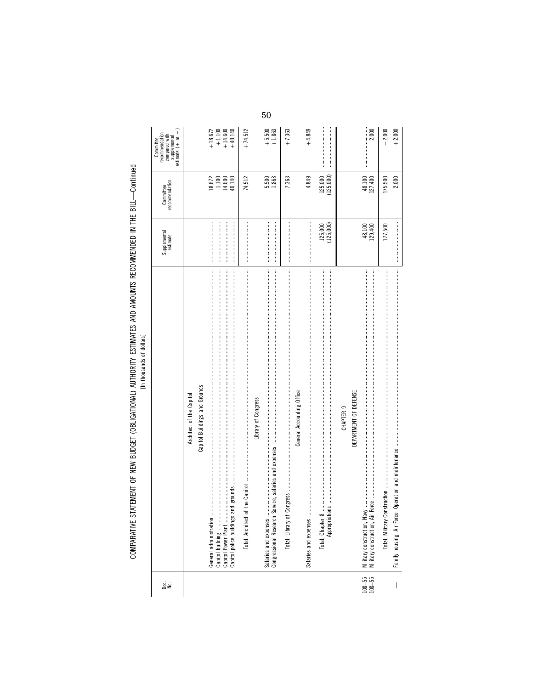| ge<br>S                  |                                                                                                                                                                                                                                                                                                                                                                                                                                                              | Supplemental<br>estimate | Committee<br>recommendation                                         | $\widehat{\mathsf{I}}$<br>recommendation<br>compared with<br>supplemental<br>estimate (+ or<br>Committee |
|--------------------------|--------------------------------------------------------------------------------------------------------------------------------------------------------------------------------------------------------------------------------------------------------------------------------------------------------------------------------------------------------------------------------------------------------------------------------------------------------------|--------------------------|---------------------------------------------------------------------|----------------------------------------------------------------------------------------------------------|
|                          | Architect of the Capitol                                                                                                                                                                                                                                                                                                                                                                                                                                     |                          |                                                                     |                                                                                                          |
|                          | Capitol Buildings and Grounds                                                                                                                                                                                                                                                                                                                                                                                                                                |                          |                                                                     |                                                                                                          |
|                          |                                                                                                                                                                                                                                                                                                                                                                                                                                                              |                          | $\begin{array}{c} 18,672 \\ 1,100 \\ 1,4,600 \\ 40,140 \end{array}$ | $\begin{matrix} +18,672 \\ +1,100 \\ +14,600 \\ +40,140 \end{matrix}$                                    |
|                          |                                                                                                                                                                                                                                                                                                                                                                                                                                                              |                          |                                                                     |                                                                                                          |
|                          |                                                                                                                                                                                                                                                                                                                                                                                                                                                              |                          |                                                                     |                                                                                                          |
|                          |                                                                                                                                                                                                                                                                                                                                                                                                                                                              |                          | 74,512                                                              | $+74,512$                                                                                                |
|                          | Library of Congress                                                                                                                                                                                                                                                                                                                                                                                                                                          |                          |                                                                     |                                                                                                          |
|                          | Salaries and expenses                                                                                                                                                                                                                                                                                                                                                                                                                                        |                          |                                                                     |                                                                                                          |
|                          | Congressional Research Service, salaries and expenses                                                                                                                                                                                                                                                                                                                                                                                                        |                          | 5,500<br>1,863                                                      | $+5,500$<br>+1,863                                                                                       |
|                          | $\textbf{Congress}\_{}^{\textbf{max}}\_{}^{\textbf{max}}\_{}^{\textbf{max}}\_{}^{\textbf{max}}\_{}^{\textbf{max}}\_{}^{\textbf{max}}\_{}^{\textbf{max}}\_{}^{\textbf{max}}\_{}^{\textbf{max}}\_{}^{\textbf{max}}\_{}^{\textbf{max}}\_{}^{\textbf{max}}\_{}^{\textbf{max}}\_{}^{\textbf{max}}\_{}^{\textbf{max}}\_{}^{\textbf{max}}\_{}^{\textbf{max}}\_{}^{\textbf{max}}\_{}^{\textbf{max}}\_{}^{\textbf{max}}\_{}^{\textbf{max}}\_{}^$<br>Total, Library of |                          | 7,363                                                               | $+7,363$                                                                                                 |
|                          | General Accounting Office                                                                                                                                                                                                                                                                                                                                                                                                                                    |                          |                                                                     |                                                                                                          |
|                          | Salaries and expenses                                                                                                                                                                                                                                                                                                                                                                                                                                        |                          | 4,849                                                               | $+4,849$                                                                                                 |
|                          |                                                                                                                                                                                                                                                                                                                                                                                                                                                              |                          | 125,000                                                             |                                                                                                          |
|                          |                                                                                                                                                                                                                                                                                                                                                                                                                                                              | 125,000<br>(125,000)     | (125,000)                                                           |                                                                                                          |
|                          | CHAPTER <sub>9</sub>                                                                                                                                                                                                                                                                                                                                                                                                                                         |                          |                                                                     |                                                                                                          |
|                          | DEPARTMENT OF DEFENSE                                                                                                                                                                                                                                                                                                                                                                                                                                        |                          |                                                                     |                                                                                                          |
|                          |                                                                                                                                                                                                                                                                                                                                                                                                                                                              |                          |                                                                     |                                                                                                          |
| $108 - 55$<br>$108 - 55$ |                                                                                                                                                                                                                                                                                                                                                                                                                                                              | 48,100<br>129,400        | 48,100<br>127,400                                                   | $-2,000$                                                                                                 |
|                          |                                                                                                                                                                                                                                                                                                                                                                                                                                                              | 177,500                  | 175,500                                                             | $-2,000$                                                                                                 |
|                          |                                                                                                                                                                                                                                                                                                                                                                                                                                                              |                          | 2,000                                                               | $+2,000$                                                                                                 |

 $50\,$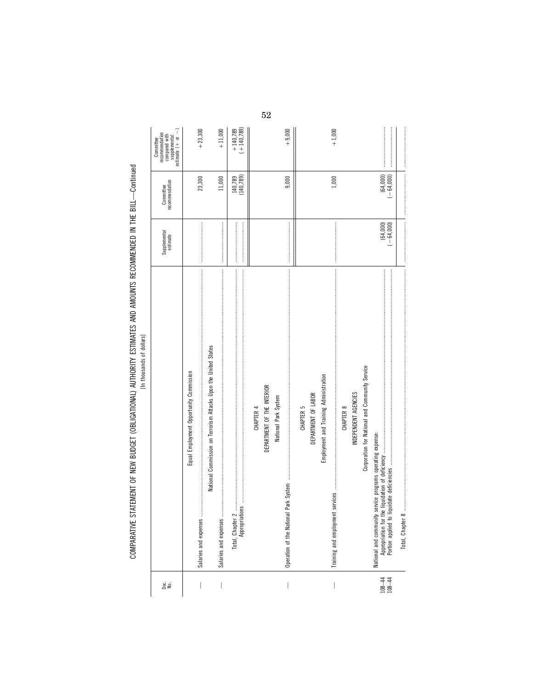| ì<br>¢<br>ļ<br>ì                                       |  |
|--------------------------------------------------------|--|
| :<br>:<br>:<br>:<br>$\frac{1}{2}$                      |  |
|                                                        |  |
| ֧֦֞֘֝֟֝֝ <b>֓</b>                                      |  |
| ì                                                      |  |
|                                                        |  |
| .<br>:<br>:<br>                                        |  |
| <br> <br> <br> <br>                                    |  |
| .C.ICC: hLCCIIC IICI LC hitlichte Li<br>$\overline{1}$ |  |
| ;<br>;<br>ā<br>d                                       |  |

| gi gi                       |                                                                                                                                                                                                                                                                                                                                                                                                                                                                                                                                                                                            | Supplemental<br>estimate                                                                                                                                                                                                                                                                                                                                                                                                                                                                                                              | recommendation<br>Committee | supplemental<br>estimate $(+ or -)$<br>recommendation<br>compared with<br>Committee |
|-----------------------------|--------------------------------------------------------------------------------------------------------------------------------------------------------------------------------------------------------------------------------------------------------------------------------------------------------------------------------------------------------------------------------------------------------------------------------------------------------------------------------------------------------------------------------------------------------------------------------------------|---------------------------------------------------------------------------------------------------------------------------------------------------------------------------------------------------------------------------------------------------------------------------------------------------------------------------------------------------------------------------------------------------------------------------------------------------------------------------------------------------------------------------------------|-----------------------------|-------------------------------------------------------------------------------------|
| I                           | $\label{def:3} \begin{minipage}{0.9\textwidth} \begin{minipage}{0.9\textwidth} \begin{itemize} \textbf{0.9\textwidth} \begin{itemize} \textbf{0.9\textwidth} \begin{itemize} \textbf{0.9\textwidth} \begin{itemize} \textbf{0.9\textwidth} \begin{itemize} \textbf{0.9\textwidth} \begin{itemize} \textbf{0.9\textwidth} \begin{itemize} \textbf{0.9\textwidth} \begin{itemize} \textbf{0.9\textwidth} \begin{itemize} \textbf{0.9\textwidth} \begin{itemize} \textbf{0.9\textwidth} \begin{itemize} \textbf{0.9\text$<br>Equal Employment Opportunity Commission<br>Salaries and expenses |                                                                                                                                                                                                                                                                                                                                                                                                                                                                                                                                       | 23,300                      | $+23,300$                                                                           |
|                             | National Commission on Terrorism Attacks Upon the United States                                                                                                                                                                                                                                                                                                                                                                                                                                                                                                                            |                                                                                                                                                                                                                                                                                                                                                                                                                                                                                                                                       |                             |                                                                                     |
| $\bigg $                    |                                                                                                                                                                                                                                                                                                                                                                                                                                                                                                                                                                                            |                                                                                                                                                                                                                                                                                                                                                                                                                                                                                                                                       | 11,000                      | $+11,000$                                                                           |
|                             |                                                                                                                                                                                                                                                                                                                                                                                                                                                                                                                                                                                            | $\begin{minipage}{0.9\linewidth} \begin{tabular}{l} \textbf{0.9\linewidth} \end{tabular} \end{minipage} \begin{tabular}{l} \textbf{0.9\linewidth} \end{tabular} \end{minipage} \begin{tabular}{l} \textbf{0.9\linewidth} \end{tabular} \end{minipage} \begin{tabular}{l} \textbf{0.9\linewidth} \end{tabular} \end{minipage} \begin{tabular}{l} \textbf{0.9\linewidth} \end{tabular} \end{minipage} \begin{tabular}{l} \textbf{0.9\linewidth} \end{tabular} \end{minipage} \begin{tabular}{l} \textbf{0.9\linewidth} \end{$           | (140, 789)<br>140,789       | $(+ 140, 789)$<br>$+140,789$                                                        |
|                             | CHAPTER 4                                                                                                                                                                                                                                                                                                                                                                                                                                                                                                                                                                                  |                                                                                                                                                                                                                                                                                                                                                                                                                                                                                                                                       |                             |                                                                                     |
|                             | DEPARTMENT OF THE INTERIOR                                                                                                                                                                                                                                                                                                                                                                                                                                                                                                                                                                 |                                                                                                                                                                                                                                                                                                                                                                                                                                                                                                                                       |                             |                                                                                     |
|                             | National Park System                                                                                                                                                                                                                                                                                                                                                                                                                                                                                                                                                                       |                                                                                                                                                                                                                                                                                                                                                                                                                                                                                                                                       |                             |                                                                                     |
|                             | Operation of the National                                                                                                                                                                                                                                                                                                                                                                                                                                                                                                                                                                  |                                                                                                                                                                                                                                                                                                                                                                                                                                                                                                                                       | 9,000                       | $+9,000$                                                                            |
|                             | CHAPTER 5                                                                                                                                                                                                                                                                                                                                                                                                                                                                                                                                                                                  |                                                                                                                                                                                                                                                                                                                                                                                                                                                                                                                                       |                             |                                                                                     |
|                             | DEPARTMENT OF LABOR                                                                                                                                                                                                                                                                                                                                                                                                                                                                                                                                                                        |                                                                                                                                                                                                                                                                                                                                                                                                                                                                                                                                       |                             |                                                                                     |
|                             | Employment and Training Administration                                                                                                                                                                                                                                                                                                                                                                                                                                                                                                                                                     |                                                                                                                                                                                                                                                                                                                                                                                                                                                                                                                                       |                             |                                                                                     |
| I                           | Training and employment                                                                                                                                                                                                                                                                                                                                                                                                                                                                                                                                                                    | $\label{def:1} \begin{minipage}{0.9\linewidth} \begin{minipage}{0.9\linewidth} \begin{minipage}{0.9\linewidth} \begin{minipage}{0.9\linewidth} \end{minipage} \end{minipage} \end{minipage} \begin{minipage}{0.9\linewidth} \begin{minipage}{0.9\linewidth} \begin{minipage}{0.9\linewidth} \begin{minipage}{0.9\linewidth} \end{minipage} \end{minipage} \end{minipage} \end{minipage} \begin{minipage}{0.9\linewidth} \begin{minipage}{0.9\linewidth} \begin{minipage}{0.9\linewidth} \end{minipage} \end{minipage} \end{minipage}$ | 1,000                       | $+1,000$                                                                            |
|                             | CHAPTER 8                                                                                                                                                                                                                                                                                                                                                                                                                                                                                                                                                                                  |                                                                                                                                                                                                                                                                                                                                                                                                                                                                                                                                       |                             |                                                                                     |
|                             | INDEPENDENT AGENCIES                                                                                                                                                                                                                                                                                                                                                                                                                                                                                                                                                                       |                                                                                                                                                                                                                                                                                                                                                                                                                                                                                                                                       |                             |                                                                                     |
|                             | Corporation for National and Community Service                                                                                                                                                                                                                                                                                                                                                                                                                                                                                                                                             |                                                                                                                                                                                                                                                                                                                                                                                                                                                                                                                                       |                             |                                                                                     |
|                             | service programs operating expense:<br>National and community                                                                                                                                                                                                                                                                                                                                                                                                                                                                                                                              |                                                                                                                                                                                                                                                                                                                                                                                                                                                                                                                                       |                             |                                                                                     |
| $\frac{108 - 44}{108 - 44}$ |                                                                                                                                                                                                                                                                                                                                                                                                                                                                                                                                                                                            | $(64,000)$<br>$(-64,000)$                                                                                                                                                                                                                                                                                                                                                                                                                                                                                                             | $(64,000)$<br>$(-64,000)$   |                                                                                     |
|                             | Total, Chapter 8                                                                                                                                                                                                                                                                                                                                                                                                                                                                                                                                                                           |                                                                                                                                                                                                                                                                                                                                                                                                                                                                                                                                       |                             |                                                                                     |

52